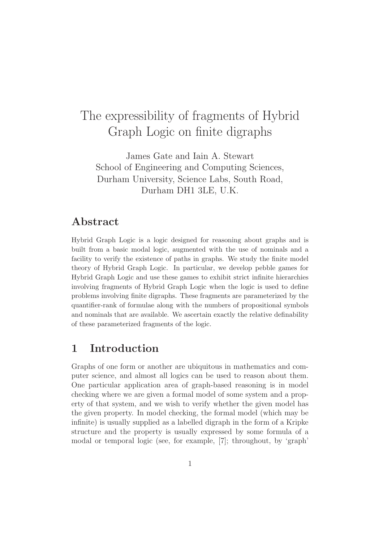# The expressibility of fragments of Hybrid Graph Logic on finite digraphs

James Gate and Iain A. Stewart School of Engineering and Computing Sciences, Durham University, Science Labs, South Road, Durham DH1 3LE, U.K.

### Abstract

Hybrid Graph Logic is a logic designed for reasoning about graphs and is built from a basic modal logic, augmented with the use of nominals and a facility to verify the existence of paths in graphs. We study the finite model theory of Hybrid Graph Logic. In particular, we develop pebble games for Hybrid Graph Logic and use these games to exhibit strict infinite hierarchies involving fragments of Hybrid Graph Logic when the logic is used to define problems involving finite digraphs. These fragments are parameterized by the quantifier-rank of formulae along with the numbers of propositional symbols and nominals that are available. We ascertain exactly the relative definability of these parameterized fragments of the logic.

### 1 Introduction

Graphs of one form or another are ubiquitous in mathematics and computer science, and almost all logics can be used to reason about them. One particular application area of graph-based reasoning is in model checking where we are given a formal model of some system and a property of that system, and we wish to verify whether the given model has the given property. In model checking, the formal model (which may be infinite) is usually supplied as a labelled digraph in the form of a Kripke structure and the property is usually expressed by some formula of a modal or temporal logic (see, for example, [7]; throughout, by 'graph'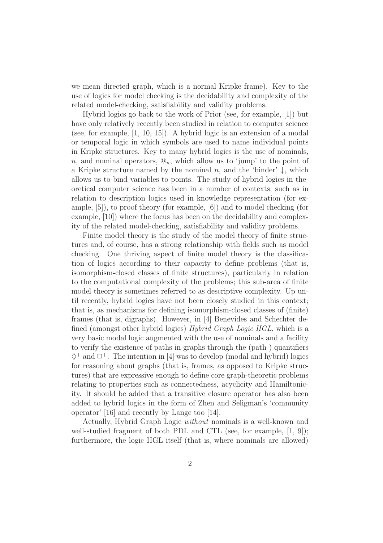we mean directed graph, which is a normal Kripke frame). Key to the use of logics for model checking is the decidability and complexity of the related model-checking, satisfiability and validity problems.

Hybrid logics go back to the work of Prior (see, for example, [1]) but have only relatively recently been studied in relation to computer science (see, for example, [1, 10, 15]). A hybrid logic is an extension of a modal or temporal logic in which symbols are used to name individual points in Kripke structures. Key to many hybrid logics is the use of nominals, n, and nominal operators,  $\mathcal{Q}_n$ , which allow us to 'jump' to the point of a Kripke structure named by the nominal n, and the 'binder'  $\downarrow$ , which allows us to bind variables to points. The study of hybrid logics in theoretical computer science has been in a number of contexts, such as in relation to description logics used in knowledge representation (for example, [5]), to proof theory (for example, [6]) and to model checking (for example, [10]) where the focus has been on the decidability and complexity of the related model-checking, satisfiability and validity problems.

Finite model theory is the study of the model theory of finite structures and, of course, has a strong relationship with fields such as model checking. One thriving aspect of finite model theory is the classification of logics according to their capacity to define problems (that is, isomorphism-closed classes of finite structures), particularly in relation to the computational complexity of the problems; this sub-area of finite model theory is sometimes referred to as descriptive complexity. Up until recently, hybrid logics have not been closely studied in this context; that is, as mechanisms for defining isomorphism-closed classes of (finite) frames (that is, digraphs). However, in [4] Benevides and Schechter defined (amongst other hybrid logics) Hybrid Graph Logic HGL, which is a very basic modal logic augmented with the use of nominals and a facility to verify the existence of paths in graphs through the (path-) quantifiers  $\diamondsuit^+$  and  $\Box^+$ . The intention in [4] was to develop (modal and hybrid) logics for reasoning about graphs (that is, frames, as opposed to Kripke structures) that are expressive enough to define core graph-theoretic problems relating to properties such as connectedness, acyclicity and Hamiltonicity. It should be added that a transitive closure operator has also been added to hybrid logics in the form of Zhen and Seligman's 'community operator' [16] and recently by Lange too [14].

Actually, Hybrid Graph Logic without nominals is a well-known and well-studied fragment of both PDL and CTL (see, for example, [1, 9]); furthermore, the logic HGL itself (that is, where nominals are allowed)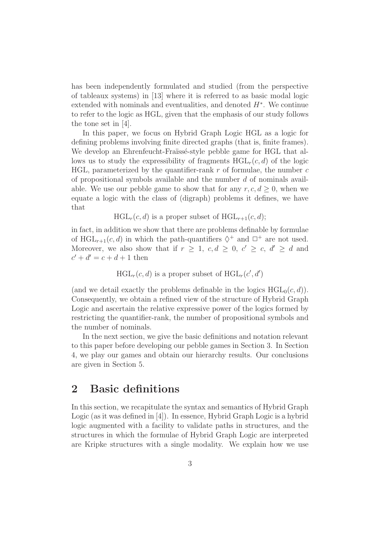has been independently formulated and studied (from the perspective of tableaux systems) in [13] where it is referred to as basic modal logic extended with nominals and eventualities, and denoted  $H^*$ . We continue to refer to the logic as HGL, given that the emphasis of our study follows the tone set in [4].

In this paper, we focus on Hybrid Graph Logic HGL as a logic for defining problems involving finite directed graphs (that is, finite frames). We develop an Ehrenfeucht-Fraïssé-style pebble game for HGL that allows us to study the expressibility of fragments  $HGL<sub>r</sub>(c, d)$  of the logic HGL, parameterized by the quantifier-rank  $r$  of formulae, the number  $c$ of propositional symbols available and the number  $d$  of nominals available. We use our pebble game to show that for any  $r, c, d \geq 0$ , when we equate a logic with the class of (digraph) problems it defines, we have that

 $HGL_r(c, d)$  is a proper subset of  $HGL_{r+1}(c, d);$ 

in fact, in addition we show that there are problems definable by formulae of  $HGL_{r+1}(c, d)$  in which the path-quantifiers  $\diamondsuit^+$  and  $\square^+$  are not used. Moreover, we also show that if  $r \geq 1$ ,  $c, d \geq 0$ ,  $c' \geq c$ ,  $d' \geq d$  and  $c' + d' = c + d + 1$  then

 $HGL_r(c, d)$  is a proper subset of  $HGL_r(c', d')$ 

(and we detail exactly the problems definable in the logics  $HGL_0(c, d)$ ). Consequently, we obtain a refined view of the structure of Hybrid Graph Logic and ascertain the relative expressive power of the logics formed by restricting the quantifier-rank, the number of propositional symbols and the number of nominals.

In the next section, we give the basic definitions and notation relevant to this paper before developing our pebble games in Section 3. In Section 4, we play our games and obtain our hierarchy results. Our conclusions are given in Section 5.

### 2 Basic definitions

In this section, we recapitulate the syntax and semantics of Hybrid Graph Logic (as it was defined in [4]). In essence, Hybrid Graph Logic is a hybrid logic augmented with a facility to validate paths in structures, and the structures in which the formulae of Hybrid Graph Logic are interpreted are Kripke structures with a single modality. We explain how we use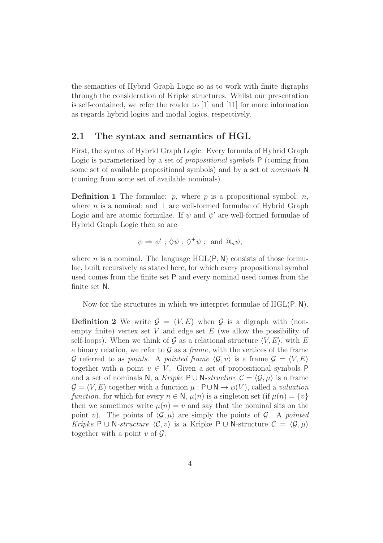the semantics of Hybrid Graph Logic so as to work with finite digraphs through the consideration of Kripke structures. Whilst our presentation is self-contained, we refer the reader to [1] and [11] for more information as regards hybrid logics and modal logics, respectively.

#### 2.1 The syntax and semantics of HGL

First, the syntax of Hybrid Graph Logic. Every formula of Hybrid Graph Logic is parameterized by a set of *propositional symbols*  $P$  (coming from some set of available propositional symbols) and by a set of nominals N (coming from some set of available nominals).

**Definition 1** The formulae:  $p$ , where p is a propositional symbol;  $n$ , where *n* is a nominal; and  $\perp$  are well-formed formulae of Hybrid Graph Logic and are atomic formulae. If  $\psi$  and  $\psi'$  are well-formed formulae of Hybrid Graph Logic then so are

$$
\psi \Rightarrow \psi'
$$
;  $\Diamond \psi$ ;  $\Diamond^+ \psi$ ; and  $\mathbb{Q}_n \psi$ ,

where n is a nominal. The language  $HGL(P, N)$  consists of those formulae, built recursively as stated here, for which every propositional symbol used comes from the finite set P and every nominal used comes from the finite set N.

Now for the structures in which we interpret formulae of HGL(P,N).

**Definition 2** We write  $\mathcal{G} = (V, E)$  when  $\mathcal{G}$  is a digraph with (nonempty finite) vertex set  $V$  and edge set  $E$  (we allow the possibility of self-loops). When we think of G as a relational structure  $\langle V, E \rangle$ , with E a binary relation, we refer to  $\mathcal G$  as a *frame*, with the vertices of the frame G referred to as *points*. A *pointed frame*  $\langle \mathcal{G}, v \rangle$  is a frame  $\mathcal{G} = \langle V, E \rangle$ together with a point  $v \in V$ . Given a set of propositional symbols P and a set of nominals N, a Kripke P ∪ N-structure  $\mathcal{C} = \langle \mathcal{G}, \mu \rangle$  is a frame  $\mathcal{G} = \langle V, E \rangle$  together with a function  $\mu : \mathsf{P} \cup \mathsf{N} \to \wp(V)$ , called a valuation function, for which for every  $n \in \mathbb{N}$ ,  $\mu(n)$  is a singleton set (if  $\mu(n) = \{v\}$ ) then we sometimes write  $\mu(n) = v$  and say that the nominal sits on the point v). The points of  $\langle \mathcal{G}, \mu \rangle$  are simply the points of  $\mathcal{G}$ . A pointed Kripke P ∪ N-structure  $\langle \mathcal{C}, v \rangle$  is a Kripke P ∪ N-structure  $\mathcal{C} = \langle \mathcal{G}, \mu \rangle$ together with a point  $v$  of  $\mathcal{G}$ .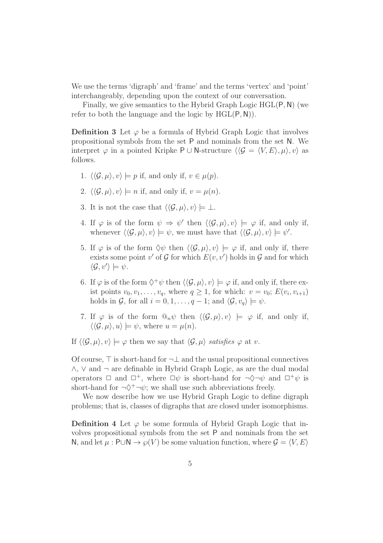We use the terms 'digraph' and 'frame' and the terms 'vertex' and 'point' interchangeably, depending upon the context of our conversation.

Finally, we give semantics to the Hybrid Graph Logic HGL(P,N) (we refer to both the language and the logic by  $HGL(P, N)$ .

**Definition 3** Let  $\varphi$  be a formula of Hybrid Graph Logic that involves propositional symbols from the set P and nominals from the set N. We interpret  $\varphi$  in a pointed Kripke P ∪ N-structure  $\langle \langle \mathcal{G} = \langle V, E \rangle, \mu \rangle, v \rangle$  as follows.

- 1.  $\langle \langle \mathcal{G}, \mu \rangle, v \rangle \models p$  if, and only if,  $v \in \mu(p)$ .
- 2.  $\langle \langle \mathcal{G}, \mu \rangle, v \rangle \models n$  if, and only if,  $v = \mu(n)$ .
- 3. It is not the case that  $\langle \langle \mathcal{G}, \mu \rangle, v \rangle \models \bot$ .
- 4. If  $\varphi$  is of the form  $\psi \Rightarrow \psi'$  then  $\langle \langle \mathcal{G}, \mu \rangle, v \rangle \models \varphi$  if, and only if, whenever  $\langle \langle \mathcal{G}, \mu \rangle, v \rangle \models \psi$ , we must have that  $\langle \langle \mathcal{G}, \mu \rangle, v \rangle \models \psi'.$
- 5. If  $\varphi$  is of the form  $\Diamond \psi$  then  $\langle \langle \mathcal{G}, \mu \rangle, v \rangle \models \varphi$  if, and only if, there exists some point  $v'$  of  $\mathcal G$  for which  $E(v, v')$  holds in  $\mathcal G$  and for which  $\langle \mathcal{G}, v' \rangle \models \psi.$
- 6. If  $\varphi$  is of the form  $\Diamond^+\psi$  then  $\langle\langle \mathcal{G}, \mu \rangle, v\rangle \models \varphi$  if, and only if, there exist points  $v_0, v_1, \ldots, v_q$ , where  $q \ge 1$ , for which:  $v = v_0$ ;  $E(v_i, v_{i+1})$ holds in G, for all  $i = 0, 1, \ldots, q - 1$ ; and  $\langle \mathcal{G}, v_q \rangle \models \psi$ .
- 7. If  $\varphi$  is of the form  $\mathbb{Q}_n \psi$  then  $\langle \langle \mathcal{G}, \mu \rangle, v \rangle \models \varphi$  if, and only if,  $\langle \langle \mathcal{G}, \mu \rangle, u \rangle \models \psi$ , where  $u = \mu(n)$ .

If  $\langle \langle \mathcal{G}, \mu \rangle, v \rangle \models \varphi$  then we say that  $\langle \mathcal{G}, \mu \rangle$  satisfies  $\varphi$  at v.

Of course, ⊤ is short-hand for ¬⊥ and the usual propositional connectives ∧, ∨ and ¬ are definable in Hybrid Graph Logic, as are the dual modal operators  $\Box$  and  $\Box^+$ , where  $\Box \psi$  is short-hand for  $\neg \Diamond \neg \psi$  and  $\Box^+ \psi$  is short-hand for  $\neg \Diamond^+ \neg \psi$ ; we shall use such abbreviations freely.

We now describe how we use Hybrid Graph Logic to define digraph problems; that is, classes of digraphs that are closed under isomorphisms.

**Definition 4** Let  $\varphi$  be some formula of Hybrid Graph Logic that involves propositional symbols from the set P and nominals from the set N, and let  $\mu$ : P∪N  $\rightarrow \varphi(V)$  be some valuation function, where  $\mathcal{G} = \langle V, E \rangle$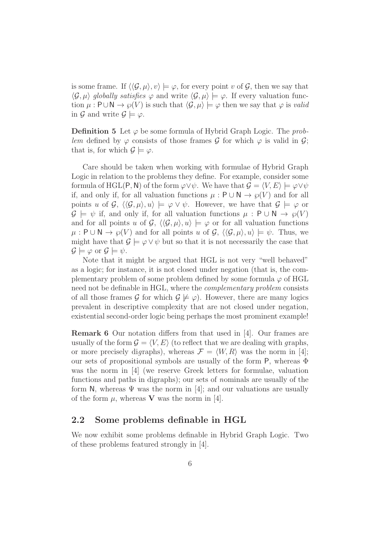is some frame. If  $\langle \langle \mathcal{G}, \mu \rangle, v \rangle \models \varphi$ , for every point v of  $\mathcal{G}$ , then we say that  $\langle \mathcal{G}, \mu \rangle$  globally satisfies  $\varphi$  and write  $\langle \mathcal{G}, \mu \rangle \models \varphi$ . If every valuation function  $\mu : \mathsf{P} \cup \mathsf{N} \to \varphi(V)$  is such that  $\langle \mathcal{G}, \mu \rangle \models \varphi$  then we say that  $\varphi$  is valid in G and write  $\mathcal{G} \models \varphi$ .

**Definition 5** Let  $\varphi$  be some formula of Hybrid Graph Logic. The problem defined by  $\varphi$  consists of those frames  $\mathcal G$  for which  $\varphi$  is valid in  $\mathcal G$ ; that is, for which  $\mathcal{G} \models \varphi$ .

Care should be taken when working with formulae of Hybrid Graph Logic in relation to the problems they define. For example, consider some formula of HGL(P, N) of the form  $\varphi \lor \psi$ . We have that  $\mathcal{G} = \langle V, E \rangle \models \varphi \lor \psi$ if, and only if, for all valuation functions  $\mu : \mathsf{P} \cup \mathsf{N} \to \varphi(V)$  and for all points u of  $\mathcal{G}, \langle \langle \mathcal{G}, \mu \rangle, u \rangle \models \varphi \vee \psi$ . However, we have that  $\mathcal{G} \models \varphi$  or  $\mathcal{G} \models \psi$  if, and only if, for all valuation functions  $\mu : \mathsf{P} \cup \mathsf{N} \rightarrow \varphi(V)$ and for all points u of  $\mathcal{G}, \langle \langle \mathcal{G}, \mu \rangle, u \rangle \models \varphi$  or for all valuation functions  $\mu : \mathsf{P} \cup \mathsf{N} \to \wp(V)$  and for all points u of  $\mathcal{G}, \langle \langle \mathcal{G}, \mu \rangle, u \rangle \models \psi$ . Thus, we might have that  $\mathcal{G} \models \varphi \lor \psi$  but so that it is not necessarily the case that  $\mathcal{G} \models \varphi$  or  $\mathcal{G} \models \psi$ .

Note that it might be argued that HGL is not very "well behaved" as a logic; for instance, it is not closed under negation (that is, the complementary problem of some problem defined by some formula  $\varphi$  of HGL need not be definable in HGL, where the complementary problem consists of all those frames G for which  $\mathcal{G} \not\models \varphi$ . However, there are many logics prevalent in descriptive complexity that are not closed under negation, existential second-order logic being perhaps the most prominent example!

Remark 6 Our notation differs from that used in [4]. Our frames are usually of the form  $\mathcal{G} = \langle V, E \rangle$  (to reflect that we are dealing with graphs, or more precisely digraphs), whereas  $\mathcal{F} = \langle W, R \rangle$  was the norm in [4]; our sets of propositional symbols are usually of the form  $P$ , whereas  $\Phi$ was the norm in [4] (we reserve Greek letters for formulae, valuation functions and paths in digraphs); our sets of nominals are usually of the form N, whereas  $\Psi$  was the norm in [4]; and our valuations are usually of the form  $\mu$ , whereas **V** was the norm in [4].

#### 2.2 Some problems definable in HGL

We now exhibit some problems definable in Hybrid Graph Logic. Two of these problems featured strongly in [4].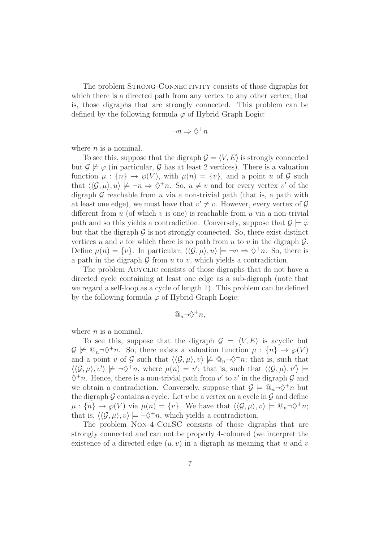The problem STRONG-CONNECTIVITY consists of those digraphs for which there is a directed path from any vertex to any other vertex; that is, those digraphs that are strongly connected. This problem can be defined by the following formula  $\varphi$  of Hybrid Graph Logic:

$$
\neg n \Rightarrow \Diamond^+ n
$$

where  $n$  is a nominal.

To see this, suppose that the digraph  $\mathcal{G} = \langle V, E \rangle$  is strongly connected but  $\mathcal{G} \not\models \varphi$  (in particular,  $\mathcal{G}$  has at least 2 vertices). There is a valuation function  $\mu : \{n\} \to \varphi(V)$ , with  $\mu(n) = \{v\}$ , and a point u of  $\mathcal G$  such that  $\langle\langle \mathcal{G},\mu\rangle,u\rangle \not\models \neg n \Rightarrow \Diamond^{\dagger}n$ . So,  $u \neq v$  and for every vertex v' of the digraph  $\mathcal G$  reachable from u via a non-trivial path (that is, a path with at least one edge), we must have that  $v' \neq v$ . However, every vertex of  $\mathcal{G}$ different from  $u$  (of which  $v$  is one) is reachable from  $u$  via a non-trivial path and so this yields a contradiction. Conversely, suppose that  $\mathcal{G} \models \varphi$ but that the digraph  $\mathcal G$  is not strongly connected. So, there exist distinct vertices u and v for which there is no path from u to v in the digraph  $\mathcal{G}$ . Define  $\mu(n) = \{v\}$ . In particular,  $\langle \langle \mathcal{G}, \mu \rangle, u \rangle \models \neg n \Rightarrow \Diamond^{\dagger} n$ . So, there is a path in the digraph  $\mathcal G$  from  $u$  to  $v$ , which yields a contradiction.

The problem Acyclic consists of those digraphs that do not have a directed cycle containing at least one edge as a sub-digraph (note that we regard a self-loop as a cycle of length 1). This problem can be defined by the following formula  $\varphi$  of Hybrid Graph Logic:

$$
@_{n} \neg \Diamond^{+} n,
$$

where  $n$  is a nominal.

To see this, suppose that the digraph  $G = \langle V, E \rangle$  is acyclic but  $\mathcal{G} \not\models \mathbb{Q}_n \neg \Diamond^+ n$ . So, there exists a valuation function  $\mu : \{n\} \to \varphi(V)$ and a point v of G such that  $\langle\langle \mathcal{G}, \mu \rangle, v \rangle \not\models \mathbb{Q}_n \neg \Diamond^+ n$ ; that is, such that  $\langle\langle \mathcal{G}, \mu \rangle, v' \rangle \not\models \neg \Diamond^{\dagger} n$ , where  $\mu(n) = v'$ ; that is, such that  $\langle\langle \mathcal{G}, \mu \rangle, v' \rangle \models$  $\Diamond^+ n$ . Hence, there is a non-trivial path from  $v'$  to  $v'$  in the digraph  $\mathcal G$  and we obtain a contradiction. Conversely, suppose that  $\mathcal{G} \models \mathbb{Q}_n \neg \Diamond^+ n$  but the digraph  $G$  contains a cycle. Let  $v$  be a vertex on a cycle in  $G$  and define  $\mu: \{n\} \to \wp(V)$  via  $\mu(n) = \{v\}$ . We have that  $\langle \langle \mathcal{G}, \mu \rangle, v \rangle \models \mathbb{Q}_n \neg \Diamond^+ n;$ that is,  $\langle \langle \mathcal{G}, \mu \rangle, v \rangle \models \neg \Diamond^+ n$ , which yields a contradiction.

The problem Non-4-ColSC consists of those digraphs that are strongly connected and can not be properly 4-coloured (we interpret the existence of a directed edge  $(u, v)$  in a digraph as meaning that u and v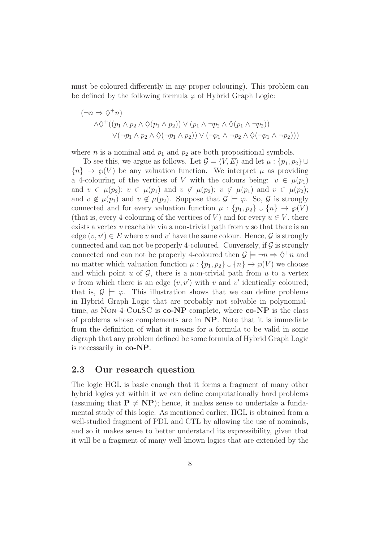must be coloured differently in any proper colouring). This problem can be defined by the following formula  $\varphi$  of Hybrid Graph Logic:

$$
(\neg n \Rightarrow \Diamond^+ n)
$$
  

$$
\land \Diamond^+ ((p_1 \land p_2 \land \Diamond(p_1 \land p_2)) \lor (p_1 \land \neg p_2 \land \Diamond(p_1 \land \neg p_2))
$$
  

$$
\lor (\neg p_1 \land p_2 \land \Diamond(\neg p_1 \land p_2)) \lor (\neg p_1 \land \neg p_2 \land \Diamond(\neg p_1 \land \neg p_2)))
$$

where *n* is a nominal and  $p_1$  and  $p_2$  are both propositional symbols.

To see this, we argue as follows. Let  $\mathcal{G} = \langle V, E \rangle$  and let  $\mu : \{p_1, p_2\} \cup$  ${n} \rightarrow \varphi(V)$  be any valuation function. We interpret  $\mu$  as providing a 4-colouring of the vertices of V with the colours being:  $v \in \mu(p_1)$ and  $v \in \mu(p_2); v \in \mu(p_1)$  and  $v \notin \mu(p_2); v \notin \mu(p_1)$  and  $v \in \mu(p_2);$ and  $v \notin \mu(p_1)$  and  $v \notin \mu(p_2)$ . Suppose that  $\mathcal{G} \models \varphi$ . So,  $\mathcal{G}$  is strongly connected and for every valuation function  $\mu : \{p_1, p_2\} \cup \{n\} \to \varphi(V)$ (that is, every 4-colouring of the vertices of V) and for every  $u \in V$ , there exists a vertex v reachable via a non-trivial path from u so that there is an edge  $(v, v') \in E$  where v and v' have the same colour. Hence,  $\mathcal G$  is strongly connected and can not be properly 4-coloured. Conversely, if  $\mathcal G$  is strongly connected and can not be properly 4-coloured then  $\mathcal{G} \models \neg n \Rightarrow \Diamond^{\dagger} n$  and no matter which valuation function  $\mu : \{p_1, p_2\} \cup \{n\} \to \wp(V)$  we choose and which point  $u$  of  $\mathcal{G}$ , there is a non-trivial path from  $u$  to a vertex v from which there is an edge  $(v, v')$  with v and v' identically coloured; that is,  $\mathcal{G} \models \varphi$ . This illustration shows that we can define problems in Hybrid Graph Logic that are probably not solvable in polynomialtime, as NON-4-COLSC is co-NP-complete, where co-NP is the class of problems whose complements are in NP. Note that it is immediate from the definition of what it means for a formula to be valid in some digraph that any problem defined be some formula of Hybrid Graph Logic is necessarily in co-NP.

#### 2.3 Our research question

The logic HGL is basic enough that it forms a fragment of many other hybrid logics yet within it we can define computationally hard problems (assuming that  $P \neq NP$ ); hence, it makes sense to undertake a fundamental study of this logic. As mentioned earlier, HGL is obtained from a well-studied fragment of PDL and CTL by allowing the use of nominals, and so it makes sense to better understand its expressibility, given that it will be a fragment of many well-known logics that are extended by the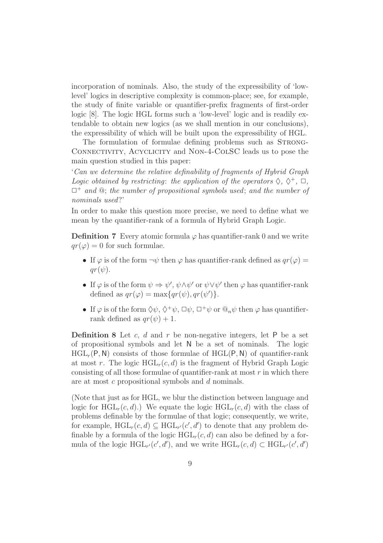incorporation of nominals. Also, the study of the expressibility of 'lowlevel' logics in descriptive complexity is common-place; see, for example, the study of finite variable or quantifier-prefix fragments of first-order logic [8]. The logic HGL forms such a 'low-level' logic and is readily extendable to obtain new logics (as we shall mention in our conclusions), the expressibility of which will be built upon the expressibility of HGL.

The formulation of formulae defining problems such as STRONG-CONNECTIVITY, ACYCLICITY and NON-4-COLSC leads us to pose the main question studied in this paper:

'Can we determine the relative definability of fragments of Hybrid Graph Logic obtained by restricting: the application of the operators  $\Diamond, \Diamond^+, \Box,$  $\Box^+$  and  $\mathcal Q$ ; the number of propositional symbols used; and the number of nominals used?'

In order to make this question more precise, we need to define what we mean by the quantifier-rank of a formula of Hybrid Graph Logic.

**Definition 7** Every atomic formula  $\varphi$  has quantifier-rank 0 and we write  $qr(\varphi) = 0$  for such formulae.

- If  $\varphi$  is of the form  $\neg \psi$  then  $\varphi$  has quantifier-rank defined as  $qr(\varphi)$  =  $qr(\psi).$
- If  $\varphi$  is of the form  $\psi \Rightarrow \psi', \psi \wedge \psi'$  or  $\psi \vee \psi'$  then  $\varphi$  has quantifier-rank defined as  $qr(\varphi) = \max\{qr(\psi), qr(\psi')\}.$
- If  $\varphi$  is of the form  $\Diamond \psi$ ,  $\Diamond^+ \psi$ ,  $\Box \psi$ ,  $\Box^+ \psi$  or  $\mathcal{Q}_n \psi$  then  $\varphi$  has quantifierrank defined as  $qr(\psi) + 1$ .

**Definition 8** Let c, d and r be non-negative integers, let  $P$  be a set of propositional symbols and let N be a set of nominals. The logic  $HGL_r(P, N)$  consists of those formulae of  $HGL(P, N)$  of quantifier-rank at most r. The logic  $HGL_r(c, d)$  is the fragment of Hybrid Graph Logic consisting of all those formulae of quantifier-rank at most  $r$  in which there are at most c propositional symbols and d nominals.

(Note that just as for HGL, we blur the distinction between language and logic for  $HGL_r(c, d)$ .) We equate the logic  $HGL_r(c, d)$  with the class of problems definable by the formulae of that logic; consequently, we write, for example,  $HGL_r(c,d) \subseteq HGL_{r'}(c',d')$  to denote that any problem definable by a formula of the logic  $HGL_r(c, d)$  can also be defined by a formula of the logic  $HGL_{r'}(c', d')$ , and we write  $HGL_{r}(c, d) \subset HGL_{r'}(c', d')$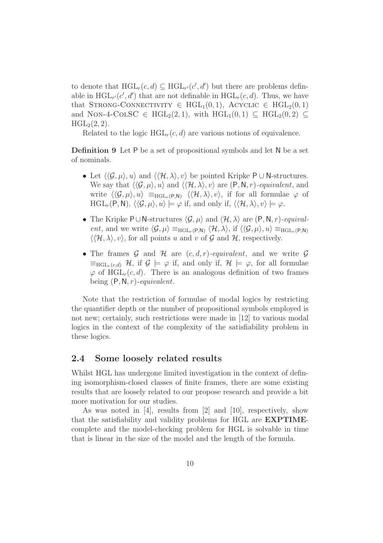to denote that  $HGL_r(c,d) \subseteq HGL_{r'}(c',d')$  but there are problems definable in  $HGL_{r'}(c', d')$  that are not definable in  $HGL_{r}(c, d)$ . Thus, we have that STRONG-CONNECTIVITY  $\in \text{HGL}_1(0,1)$ , ACYCLIC  $\in \text{HGL}_2(0,1)$ and NON-4-COLSC  $\in \text{HGL}_2(2,1)$ , with  $\text{HGL}_1(0,1) \subseteq \text{HGL}_2(0,2) \subseteq$  $HGL_2(2, 2)$ .

Related to the logic  $HGL<sub>r</sub>(c, d)$  are various notions of equivalence.

Definition 9 Let P be a set of propositional symbols and let N be a set of nominals.

- Let  $\langle \langle \mathcal{G}, \mu \rangle, u \rangle$  and  $\langle \langle \mathcal{H}, \lambda \rangle, v \rangle$  be pointed Kripke P ∪ N-structures. We say that  $\langle\langle \mathcal{G}, \mu \rangle, u \rangle$  and  $\langle\langle \mathcal{H}, \lambda \rangle, v \rangle$  are  $(P, N, r)$ -equivalent, and write  $\langle \langle \mathcal{G}, \mu \rangle, u \rangle \equiv_{\text{HGL}_r(P,N)} \langle \langle \mathcal{H}, \lambda \rangle, v \rangle$ , if for all formulae  $\varphi$  of  $HGL_r(P, N), \langle\langle \mathcal{G}, \mu \rangle, u \rangle \models \varphi$  if, and only if,  $\langle\langle \mathcal{H}, \lambda \rangle, v \rangle \models \varphi$ .
- The Kripke P∪N-structures  $\langle \mathcal{G}, \mu \rangle$  and  $\langle \mathcal{H}, \lambda \rangle$  are  $(P, N, r)$ -equivalent, and we write  $\langle \mathcal{G}, \mu \rangle \equiv_{\text{HGL}_r(P,N)} \langle \mathcal{H}, \lambda \rangle$ , if  $\langle \langle \mathcal{G}, \mu \rangle, u \rangle \equiv_{\text{HGL}_r(P,N)}$  $\langle \langle \mathcal{H}, \lambda \rangle, v \rangle$ , for all points u and v of G and H, respectively.
- The frames G and H are  $(c, d, r)$ -equivalent, and we write G  $\equiv_{\text{HGL}_r(c,d)} \mathcal{H}$ , if  $\mathcal{G} \models \varphi$  if, and only if,  $\mathcal{H} \models \varphi$ , for all formulae  $\varphi$  of HGL<sub>r</sub>(c, d). There is an analogous definition of two frames being  $(P, N, r)$ -equivalent.

Note that the restriction of formulae of modal logics by restricting the quantifier depth or the number of propositional symbols employed is not new; certainly, such restrictions were made in [12] to various modal logics in the context of the complexity of the satisfiability problem in these logics.

#### 2.4 Some loosely related results

Whilst HGL has undergone limited investigation in the context of defining isomorphism-closed classes of finite frames, there are some existing results that are loosely related to our propose research and provide a bit more motivation for our studies.

As was noted in [4], results from [2] and [10], respectively, show that the satisfiability and validity problems for HGL are EXPTIMEcomplete and the model-checking problem for HGL is solvable in time that is linear in the size of the model and the length of the formula.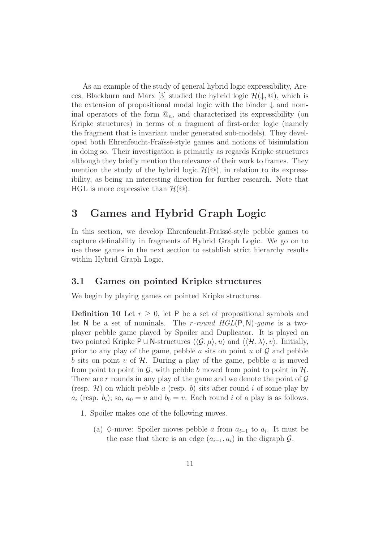As an example of the study of general hybrid logic expressibility, Areces, Blackburn and Marx [3] studied the hybrid logic  $\mathcal{H}(\downarrow, \mathcal{Q})$ , which is the extension of propositional modal logic with the binder ↓ and nominal operators of the form  $\mathbb{Q}_n$ , and characterized its expressibility (on Kripke structures) in terms of a fragment of first-order logic (namely the fragment that is invariant under generated sub-models). They developed both Ehrenfeucht-Fra¨ıss´e-style games and notions of bisimulation in doing so. Their investigation is primarily as regards Kripke structures although they briefly mention the relevance of their work to frames. They mention the study of the hybrid logic  $\mathcal{H}(\mathcal{Q})$ , in relation to its expressibility, as being an interesting direction for further research. Note that HGL is more expressive than  $\mathcal{H}(\mathbb{Q})$ .

### 3 Games and Hybrid Graph Logic

In this section, we develop Ehrenfeucht-Fraïssé-style pebble games to capture definability in fragments of Hybrid Graph Logic. We go on to use these games in the next section to establish strict hierarchy results within Hybrid Graph Logic.

#### 3.1 Games on pointed Kripke structures

We begin by playing games on pointed Kripke structures.

**Definition 10** Let  $r > 0$ , let P be a set of propositional symbols and let N be a set of nominals. The r-round  $HGL(P, N)$ -game is a twoplayer pebble game played by Spoiler and Duplicator. It is played on two pointed Kripke P∪N-structures  $\langle \langle \mathcal{G}, \mu \rangle, u \rangle$  and  $\langle \langle \mathcal{H}, \lambda \rangle, v \rangle$ . Initially, prior to any play of the game, pebble a sits on point u of  $\mathcal G$  and pebble b sits on point v of  $H$ . During a play of the game, pebble a is moved from point to point in  $\mathcal{G}$ , with pebble b moved from point to point in  $\mathcal{H}$ . There are r rounds in any play of the game and we denote the point of  $\mathcal G$ (resp.  $\mathcal{H}$ ) on which pebble a (resp. b) sits after round i of some play by  $a_i$  (resp.  $b_i$ ); so,  $a_0 = u$  and  $b_0 = v$ . Each round i of a play is as follows.

- 1. Spoiler makes one of the following moves.
	- (a)  $\Diamond$ -move: Spoiler moves pebble *a* from  $a_{i-1}$  to  $a_i$ . It must be the case that there is an edge  $(a_{i-1}, a_i)$  in the digraph  $\mathcal{G}$ .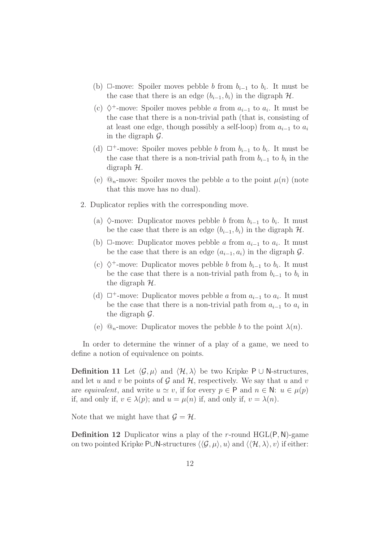- (b)  $\Box$ -move: Spoiler moves pebble b from  $b_{i-1}$  to  $b_i$ . It must be the case that there is an edge  $(b_{i-1}, b_i)$  in the digraph  $H$ .
- (c)  $\diamondsuit^+$ -move: Spoiler moves pebble *a* from  $a_{i-1}$  to  $a_i$ . It must be the case that there is a non-trivial path (that is, consisting of at least one edge, though possibly a self-loop) from  $a_{i-1}$  to  $a_i$ in the digraph  $\mathcal{G}$ .
- (d)  $\Box^+$ -move: Spoiler moves pebble *b* from  $b_{i-1}$  to  $b_i$ . It must be the case that there is a non-trivial path from  $b_{i-1}$  to  $b_i$  in the digraph  $H$ .
- (e)  $\mathbb{Q}_n$ -move: Spoiler moves the pebble a to the point  $\mu(n)$  (note that this move has no dual).
- 2. Duplicator replies with the corresponding move.
	- (a)  $\Diamond$ -move: Duplicator moves pebble *b* from  $b_{i-1}$  to  $b_i$ . It must be the case that there is an edge  $(b_{i-1}, b_i)$  in the digraph  $H$ .
	- (b)  $\Box$ -move: Duplicator moves pebble *a* from  $a_{i-1}$  to  $a_i$ . It must be the case that there is an edge  $(a_{i-1}, a_i)$  in the digraph  $\mathcal{G}$ .
	- (c)  $\diamondsuit^+$ -move: Duplicator moves pebble *b* from  $b_{i-1}$  to  $b_i$ . It must be the case that there is a non-trivial path from  $b_{i-1}$  to  $b_i$  in the digraph H.
	- (d)  $\Box^+$ -move: Duplicator moves pebble a from  $a_{i-1}$  to  $a_i$ . It must be the case that there is a non-trivial path from  $a_{i-1}$  to  $a_i$  in the digraph G.
	- (e)  $\mathcal{Q}_n$ -move: Duplicator moves the pebble b to the point  $\lambda(n)$ .

In order to determine the winner of a play of a game, we need to define a notion of equivalence on points.

**Definition 11** Let  $\langle \mathcal{G}, \mu \rangle$  and  $\langle \mathcal{H}, \lambda \rangle$  be two Kripke P ∪ N-structures, and let u and v be points of  $\mathcal G$  and  $\mathcal H$ , respectively. We say that u and v are equivalent, and write  $u \simeq v$ , if for every  $p \in \mathsf{P}$  and  $n \in \mathsf{N}: u \in \mu(p)$ if, and only if,  $v \in \lambda(p)$ ; and  $u = \mu(n)$  if, and only if,  $v = \lambda(n)$ .

Note that we might have that  $\mathcal{G} = \mathcal{H}$ .

**Definition 12** Duplicator wins a play of the r-round  $HGL(P, N)$ -game on two pointed Kripke P∪N-structures  $\langle \langle \mathcal{G}, \mu \rangle, u \rangle$  and  $\langle \langle \mathcal{H}, \lambda \rangle, v \rangle$  if either: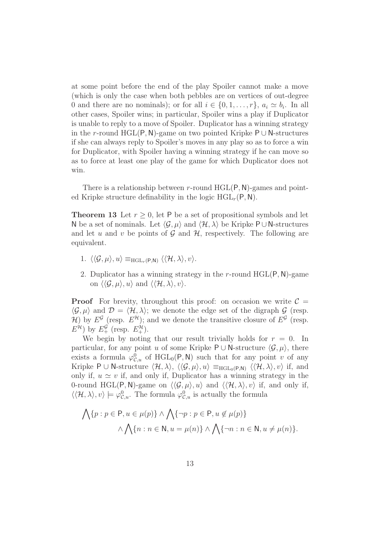at some point before the end of the play Spoiler cannot make a move (which is only the case when both pebbles are on vertices of out-degree 0 and there are no nominals); or for all  $i \in \{0, 1, \ldots, r\}$ ,  $a_i \simeq b_i$ . In all other cases, Spoiler wins; in particular, Spoiler wins a play if Duplicator is unable to reply to a move of Spoiler. Duplicator has a winning strategy in the r-round HGL(P, N)-game on two pointed Kripke P  $\cup$  N-structures if she can always reply to Spoiler's moves in any play so as to force a win for Duplicator, with Spoiler having a winning strategy if he can move so as to force at least one play of the game for which Duplicator does not win.

There is a relationship between r-round  $HGL(P, N)$ -games and pointed Kripke structure definability in the logic  $HGL_r(P, N)$ .

**Theorem 13** Let  $r > 0$ , let P be a set of propositional symbols and let N be a set of nominals. Let  $\langle \mathcal{G}, \mu \rangle$  and  $\langle \mathcal{H}, \lambda \rangle$  be Kripke P∪N-structures and let u and v be points of  $\mathcal G$  and  $\mathcal H$ , respectively. The following are equivalent.

- 1.  $\langle \langle \mathcal{G}, \mu \rangle, u \rangle \equiv_{\text{HGL}_r(P,N)} \langle \langle \mathcal{H}, \lambda \rangle, v \rangle$ .
- 2. Duplicator has a winning strategy in the r-round  $HGL(P, N)$ -game on  $\langle \langle \mathcal{G}, \mu \rangle, u \rangle$  and  $\langle \langle \mathcal{H}, \lambda \rangle, v \rangle$ .

**Proof** For brevity, throughout this proof: on occasion we write  $\mathcal{C} =$  $\langle \mathcal{G}, \mu \rangle$  and  $\mathcal{D} = \langle \mathcal{H}, \lambda \rangle$ ; we denote the edge set of the digraph  $\mathcal{G}$  (resp.  $\mathcal{H}$ ) by  $E^{\mathcal{G}}$  (resp.  $E^{\mathcal{H}}$ ); and we denote the transitive closure of  $E^{\mathcal{G}}$  (resp.  $E^{\mathcal{H}}$ ) by  $E^{\mathcal{G}}_+$  (resp.  $E^{\mathcal{H}}_+$ ).

We begin by noting that our result trivially holds for  $r = 0$ . In particular, for any point u of some Kripke P ∪ N-structure  $\langle \mathcal{G}, \mu \rangle$ , there exists a formula  $\varphi_{\mathcal{C},u}^0$  of HGL<sub>0</sub>(P, N) such that for any point v of any Kripke P  $\cup$  N-structure  $\langle \mathcal{H}, \lambda \rangle$ ,  $\langle \langle \mathcal{G}, \mu \rangle$ ,  $u \rangle \equiv_{\text{HGL}_0(P,N)} \langle \langle \mathcal{H}, \lambda \rangle$ ,  $v \rangle$  if, and only if,  $u \simeq v$  if, and only if, Duplicator has a winning strategy in the 0-round HGL(P, N)-game on  $\langle\langle \mathcal{G}, \mu \rangle, u \rangle$  and  $\langle\langle \mathcal{H}, \lambda \rangle, v \rangle$  if, and only if,  $\langle\langle \mathcal{H}, \lambda \rangle, v \rangle \models \varphi_{\mathcal{C},u}^0$ . The formula  $\varphi_{\mathcal{C},u}^0$  is actually the formula

$$
\bigwedge \{p : p \in \mathsf{P}, u \in \mu(p)\} \land \bigwedge \{\neg p : p \in \mathsf{P}, u \notin \mu(p)\}\
$$

$$
\land \bigwedge \{n : n \in \mathsf{N}, u = \mu(n)\} \land \bigwedge \{\neg n : n \in \mathsf{N}, u \neq \mu(n)\}.
$$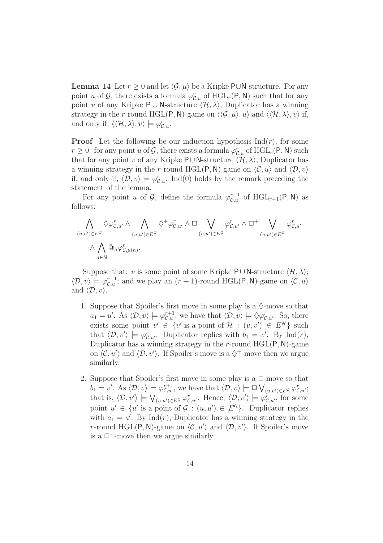**Lemma 14** Let  $r \geq 0$  and let  $\langle \mathcal{G}, \mu \rangle$  be a Kripke P∪N-structure. For any point u of G, there exists a formula  $\varphi_{\mathcal{C},u}^r$  of  $HGL_r(\mathsf{P},\mathsf{N})$  such that for any point v of any Kripke P ∪ N-structure  $\langle \mathcal{H}, \lambda \rangle$ , Duplicator has a winning strategy in the r-round HGL(P, N)-game on  $\langle\langle \mathcal{G}, \mu \rangle, u \rangle$  and  $\langle\langle \mathcal{H}, \lambda \rangle, v \rangle$  if, and only if,  $\langle\langle \mathcal{H}, \lambda \rangle, v\rangle \models \varphi_{\mathcal{C},u}^r$ .

**Proof** Let the following be our induction hypothesis  $\text{Ind}(r)$ , for some  $r \geq 0$ : for any point u of  $\mathcal{G}$ , there exists a formula  $\varphi_{\mathcal{C},u}^r$  of  $HGL_r(\mathsf{P},\mathsf{N})$  such that for any point v of any Kripke P∪N-structure  $\langle \mathcal{H}, \lambda \rangle$ , Duplicator has a winning strategy in the r-round HGL(P, N)-game on  $\langle \mathcal{C}, u \rangle$  and  $\langle \mathcal{D}, v \rangle$ if, and only if,  $\langle \mathcal{D}, v \rangle \models \varphi_{\mathcal{C},u}^r$ . Ind(0) holds by the remark preceding the statement of the lemma.

For any point u of  $\mathcal{G}$ , define the formula  $\varphi_{\mathcal{C},u}^{r+1}$  of  $HGL_{r+1}(\mathsf{P},\mathsf{N})$  as follows:

$$
\bigwedge_{(u,u')\in E^{\mathcal{G}}}\Diamond \varphi^r_{\mathcal{C},u'} \land \bigwedge_{(u,u')\in E^{\mathcal{G}}_+} \Diamond^+ \varphi^r_{\mathcal{C},u'} \land \Box \bigvee_{(u,u')\in E^{\mathcal{G}}}\varphi^r_{\mathcal{C},u'} \land \Box^+ \bigvee_{(u,u')\in E^{\mathcal{G}}_+} \varphi^r_{\mathcal{C},u'}
$$
\n
$$
\land \bigwedge_{n\in \mathbb{N}} @_{n}\varphi^r_{\mathcal{C},\mu(n)}.
$$

Suppose that: v is some point of some Kripke P∪N-structure  $\langle \mathcal{H}, \lambda \rangle$ ;  $\langle \mathcal{D}, v \rangle \models \varphi^{r+1}_{\mathcal{C},u}$ ; and we play an  $(r+1)$ -round HGL(P, N)-game on  $\langle \mathcal{C}, u \rangle$ and  $\langle \mathcal{D}, v \rangle$ .

- 1. Suppose that Spoiler's first move in some play is a  $\Diamond$ -move so that  $a_1 = u'$ . As  $\langle \mathcal{D}, v \rangle \models \varphi_{\mathcal{C},u}^{r+1}$ , we have that  $\langle \mathcal{D}, v \rangle \models \Diamond \varphi_{\mathcal{C},u'}^r$ . So, there exists some point  $v' \in \{v' \text{ is a point of } H : (v, v') \in E^H \}$  such that  $\langle \mathcal{D}, v' \rangle \models \varphi_{\mathcal{C}, u'}^r$ . Duplicator replies with  $b_1 = v'$ . By Ind(*r*), Duplicator has a winning strategy in the r-round  $HGL(P, N)$ -game on  $\langle \mathcal{C}, u' \rangle$  and  $\langle \mathcal{D}, v' \rangle$ . If Spoiler's move is a  $\Diamond^+$ -move then we argue similarly.
- 2. Suppose that Spoiler's first move in some play is a  $\Box$ -move so that  $b_1 = v'$ . As  $\langle \mathcal{D}, v \rangle \models \varphi_{\mathcal{C},u}^{r+1}$ , we have that  $\langle \mathcal{D}, v \rangle \models \Box \bigvee_{(u,u') \in E^{\mathcal{G}}} \varphi_{\mathcal{C},u'}^{r}$ ; that is,  $\langle \mathcal{D}, v' \rangle \models \bigvee_{(u, u') \in E^{\mathcal{G}}} \varphi_{\mathcal{C}, u'}^r$ . Hence,  $\langle \mathcal{D}, v' \rangle \models \varphi_{\mathcal{C}, u'}^r$ , for some point  $u' \in \{u' \text{ is a point of } \mathcal{G} : (u, u') \in E^{\mathcal{G}}\}\.$  Duplicator replies with  $a_1 = u'$ . By Ind(*r*), Duplicator has a winning strategy in the r-round HGL(P, N)-game on  $\langle \mathcal{C}, u' \rangle$  and  $\langle \mathcal{D}, v' \rangle$ . If Spoiler's move is a  $\Box^+$ -move then we argue similarly.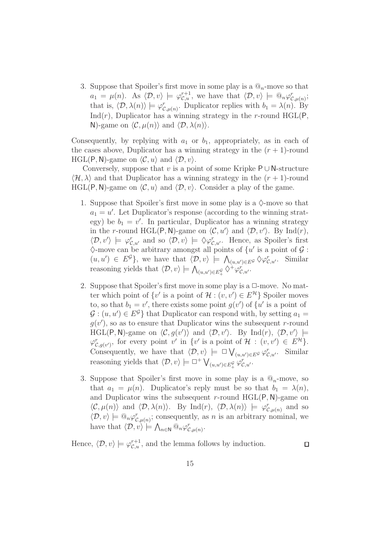3. Suppose that Spoiler's first move in some play is a  $\mathbb{Q}_n$ -move so that  $a_1 = \mu(n)$ . As  $\langle \mathcal{D}, v \rangle \models \varphi_{\mathcal{C},u}^{r+1}$ , we have that  $\langle \mathcal{D}, v \rangle \models \mathbb{Q}_n \varphi_{\mathcal{C},\mu(n)}^r$ ; that is,  $\langle \mathcal{D}, \lambda(n) \rangle \models \varphi_{\mathcal{C},\mu(n)}^r$ . Duplicator replies with  $b_1 = \lambda(n)$ . By  $Ind(r)$ , Duplicator has a winning strategy in the r-round HGL(P, N)-game on  $\langle \mathcal{C}, \mu(n) \rangle$  and  $\langle \mathcal{D}, \lambda(n) \rangle$ .

Consequently, by replying with  $a_1$  or  $b_1$ , appropriately, as in each of the cases above, Duplicator has a winning strategy in the  $(r + 1)$ -round HGL(P, N)-game on  $\langle \mathcal{C}, u \rangle$  and  $\langle \mathcal{D}, v \rangle$ .

Conversely, suppose that v is a point of some Kripke  $P \cup N$ -structure  $\langle \mathcal{H}, \lambda \rangle$  and that Duplicator has a winning strategy in the  $(r + 1)$ -round HGL(P, N)-game on  $\langle \mathcal{C}, u \rangle$  and  $\langle \mathcal{D}, v \rangle$ . Consider a play of the game.

- 1. Suppose that Spoiler's first move in some play is a  $\Diamond$ -move so that  $a_1 = u'$ . Let Duplicator's response (according to the winning strategy) be  $b_1 = v'$ . In particular, Duplicator has a winning strategy in the r-round HGL(P, N)-game on  $\langle C, u' \rangle$  and  $\langle D, v' \rangle$ . By Ind(r),  $\langle \mathcal{D}, v' \rangle \models \varphi_{\mathcal{C},u'}^r$  and so  $\langle \mathcal{D}, v \rangle \models \Diamond \varphi_{\mathcal{C},u'}^r$ . Hence, as Spoiler's first  $\Diamond$ -move can be arbitrary amongst all points of  $\{u' \text{ is a point of } \mathcal{G} :$  $(u, u') \in E^{\mathcal{G}}$ , we have that  $\langle \mathcal{D}, v \rangle \models \bigwedge_{(u, u') \in E^{\mathcal{G}}} \Diamond \varphi_{\mathcal{C}, u'}^r$ . Similar reasoning yields that  $\langle \mathcal{D}, v \rangle \models \bigwedge_{(u, u') \in E^{\mathcal{G}}_+} \Diamond^{\dagger} \varphi^{\dagger}_{\mathcal{C}, u'}.$
- 2. Suppose that Spoiler's first move in some play is a  $\Box$ -move. No matter which point of  $\{v' \text{ is a point of } H : (v, v') \in E^{\mathcal{H}}\}$  Spoiler moves to, so that  $b_1 = v'$ , there exists some point  $g(v')$  of  $\{u' \text{ is a point of }$  $\mathcal{G}$ :  $(u, u') \in E^{\mathcal{G}}$  that Duplicator can respond with, by setting  $a_1 =$  $g(v')$ , so as to ensure that Duplicator wins the subsequent r-round HGL(P, N)-game on  $\langle \mathcal{C}, g(v') \rangle$  and  $\langle \mathcal{D}, v' \rangle$ . By Ind(r),  $\langle \mathcal{D}, v' \rangle$   $\models$  $\varphi_{\mathcal{C},g(v')}^r$ , for every point v' in  $\{v' \text{ is a point of } \mathcal{H} : (v,v') \in E^{\mathcal{H}}\}.$ Consequently, we have that  $\langle \mathcal{D}, v \rangle \models \Box \bigvee_{(u, u') \in E^{\mathcal{G}}} \varphi_{\mathcal{C}, u'}^r$ . Similar reasoning yields that  $\langle \mathcal{D}, v \rangle \models \Box^+ \bigvee_{(u, u') \in E^{\mathcal{G}}_+} \varphi_{\mathcal{C}, u'}^r$ .
- 3. Suppose that Spoiler's first move in some play is a  $\mathbb{Q}_n$ -move, so that  $a_1 = \mu(n)$ . Duplicator's reply must be so that  $b_1 = \lambda(n)$ , and Duplicator wins the subsequent r-round  $HGL(P, N)$ -game on  $\langle \mathcal{C}, \mu(n) \rangle$  and  $\langle \mathcal{D}, \lambda(n) \rangle$ . By Ind(r),  $\langle \mathcal{D}, \lambda(n) \rangle \models \varphi_{\mathcal{C}, \mu(n)}^r$  and so  $\langle \mathcal{D}, v \rangle \models \mathbb{Q}_n \varphi_{\mathcal{C}, \mu(n)}^r$ ; consequently, as *n* is an arbitrary nominal, we have that  $\langle \mathcal{D}, v \rangle \models \bigwedge_{n \in \mathbb{N}} \mathbb{Q}_n \varphi_{\mathcal{C}, \mu(n)}^r$ .

Hence,  $\langle \mathcal{D}, v \rangle \models \varphi_{\mathcal{C},u}^{r+1}$ , and the lemma follows by induction.

 $\Box$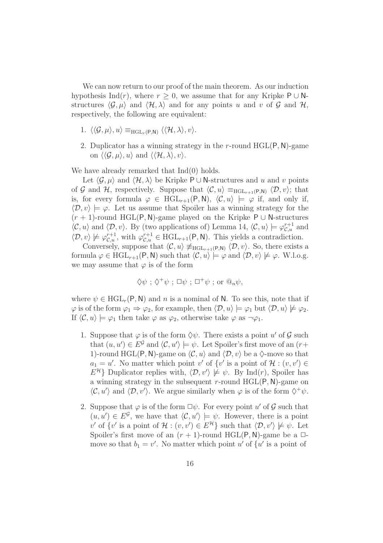We can now return to our proof of the main theorem. As our induction hypothesis Ind(r), where  $r > 0$ , we assume that for any Kripke P ∪ Nstructures  $\langle \mathcal{G}, \mu \rangle$  and  $\langle \mathcal{H}, \lambda \rangle$  and for any points u and v of G and H, respectively, the following are equivalent:

- 1.  $\langle\langle \mathcal{G}, \mu \rangle, u \rangle \equiv_{\text{HGL}_r(P,N)} \langle\langle \mathcal{H}, \lambda \rangle, v \rangle.$
- 2. Duplicator has a winning strategy in the  $r$ -round  $HGL(P, N)$ -game on  $\langle \langle \mathcal{G}, \mu \rangle, u \rangle$  and  $\langle \langle \mathcal{H}, \lambda \rangle, v \rangle$ .

We have already remarked that  $Ind(0)$  holds.

Let  $\langle \mathcal{G}, \mu \rangle$  and  $\langle \mathcal{H}, \lambda \rangle$  be Kripke P ∪ N-structures and u and v points of G and H, respectively. Suppose that  $\langle \mathcal{C}, u \rangle \equiv_{\text{HGL}_{r+1}(P,N)} \langle \mathcal{D}, v \rangle$ ; that is, for every formula  $\varphi \in \text{HGL}_{r+1}(\mathsf{P}, \mathsf{N}), \langle \mathcal{C}, u \rangle \models \varphi$  if, and only if,  $\langle \mathcal{D}, v \rangle \models \varphi$ . Let us assume that Spoiler has a winning strategy for the  $(r + 1)$ -round HGL(P, N)-game played on the Kripke P ∪ N-structures  $\langle C, u \rangle$  and  $\langle \mathcal{D}, v \rangle$ . By (two applications of) Lemma 14,  $\langle C, u \rangle \models \varphi_{\mathcal{C}, u}^{r+1}$  and  $\langle \mathcal{D}, v \rangle \not\models \varphi_{\mathcal{C},u}^{r+1}$ , with  $\varphi_{\mathcal{C},u}^{r+1} \in \text{HGL}_{r+1}(\mathsf{P},\mathsf{N})$ . This yields a contradiction.

Conversely, suppose that  $\langle \mathcal{C}, u \rangle \neq_{\text{HGL}_{r+1}(\mathsf{P},\mathsf{N})} \langle \mathcal{D}, v \rangle$ . So, there exists a formula  $\varphi \in \text{HGL}_{r+1}(\mathsf{P},\mathsf{N})$  such that  $\langle \mathcal{C}, u \rangle \models \varphi$  and  $\langle \mathcal{D}, v \rangle \not\models \varphi$ . W.l.o.g. we may assume that  $\varphi$  is of the form

$$
\Diamond \psi
$$
;  $\Diamond^+ \psi$ ;  $\Box \psi$ ;  $\Box^+ \psi$ ; or  $\mathcal{Q}_n \psi$ ,

where  $\psi \in \text{HGL}_r(\mathsf{P},\mathsf{N})$  and n is a nominal of N. To see this, note that if  $\varphi$  is of the form  $\varphi_1 \Rightarrow \varphi_2$ , for example, then  $\langle \mathcal{D}, u \rangle \models \varphi_1$  but  $\langle \mathcal{D}, u \rangle \not\models \varphi_2$ . If  $\langle \mathcal{C}, u \rangle \models \varphi_1$  then take  $\varphi$  as  $\varphi_2$ , otherwise take  $\varphi$  as  $\neg \varphi_1$ .

- 1. Suppose that  $\varphi$  is of the form  $\Diamond \psi$ . There exists a point u' of  $\mathcal G$  such that  $(u, u') \in E^{\mathcal{G}}$  and  $\langle \mathcal{C}, u' \rangle \models \psi$ . Let Spoiler's first move of an  $(r +$ 1)-round HGL(P, N)-game on  $\langle \mathcal{C}, u \rangle$  and  $\langle \mathcal{D}, v \rangle$  be a  $\Diamond$ -move so that  $a_1 = u'$ . No matter which point v' of  $\{v' \text{ is a point of } H : (v, v') \in$  $E^{\mathcal{H}}$  Duplicator replies with,  $\langle \mathcal{D}, v' \rangle \not\models \psi$ . By Ind(*r*), Spoiler has a winning strategy in the subsequent r-round  $HGL(P, N)$ -game on  $\langle C, u' \rangle$  and  $\langle \mathcal{D}, v' \rangle$ . We argue similarly when  $\varphi$  is of the form  $\Diamond^+ \psi$ .
- 2. Suppose that  $\varphi$  is of the form  $\Box \psi$ . For every point u' of  $\mathcal G$  such that  $(u, u') \in E^{\mathcal{G}}$ , we have that  $\langle \mathcal{C}, u' \rangle \models \psi$ . However, there is a point v' of  $\{v' \text{ is a point of } H : (v, v') \in E^{\mathcal{H}}\}\$  such that  $\langle \mathcal{D}, v' \rangle \not\models \psi$ . Let Spoiler's first move of an  $(r + 1)$ -round HGL(P, N)-game be a  $\Box$ move so that  $b_1 = v'$ . No matter which point u' of  $\{u' \text{ is a point of } \}$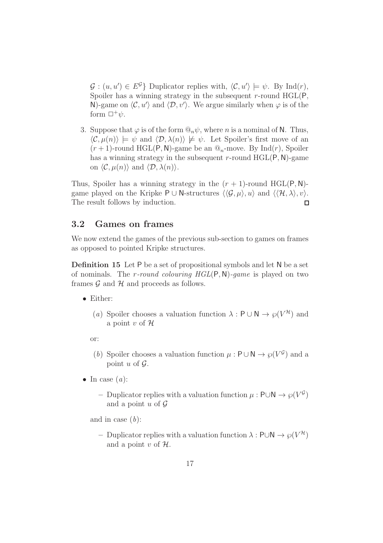$\mathcal{G} : (u, u') \in E^{\mathcal{G}}$  Duplicator replies with,  $\langle \mathcal{C}, u' \rangle \models \psi$ . By Ind(*r*), Spoiler has a winning strategy in the subsequent r-round  $HGL(P,$ N)-game on  $\langle \mathcal{C}, u' \rangle$  and  $\langle \mathcal{D}, v' \rangle$ . We argue similarly when  $\varphi$  is of the form  $\Box^+\psi$ .

3. Suppose that  $\varphi$  is of the form  $\mathbb{Q}_n \psi$ , where *n* is a nominal of N. Thus,  $\langle \mathcal{C}, \mu(n) \rangle \models \psi$  and  $\langle \mathcal{D}, \lambda(n) \rangle \not\models \psi$ . Let Spoiler's first move of an  $(r+1)$ -round HGL(P, N)-game be an  $\mathcal{Q}_n$ -move. By Ind(r), Spoiler has a winning strategy in the subsequent r-round  $HGL(P, N)$ -game on  $\langle \mathcal{C}, \mu(n) \rangle$  and  $\langle \mathcal{D}, \lambda(n) \rangle$ .

Thus, Spoiler has a winning strategy in the  $(r + 1)$ -round HGL(P, N)game played on the Kripke P ∪ N-structures  $\langle \langle \mathcal{G}, \mu \rangle, u \rangle$  and  $\langle \langle \mathcal{H}, \lambda \rangle, v \rangle$ . The result follows by induction.  $\Box$ 

#### 3.2 Games on frames

We now extend the games of the previous sub-section to games on frames as opposed to pointed Kripke structures.

Definition 15 Let P be a set of propositional symbols and let N be a set of nominals. The *r*-round colouring  $HGL(P, N)$ -game is played on two frames  $\mathcal G$  and  $\mathcal H$  and proceeds as follows.

- Either:
	- (a) Spoiler chooses a valuation function  $\lambda : \mathsf{P} \cup \mathsf{N} \to \wp(V^{\mathcal{H}})$  and a point v of  $\mathcal H$

or:

- (b) Spoiler chooses a valuation function  $\mu : \mathsf{P} \cup \mathsf{N} \to \varphi(V^{\mathcal{G}})$  and a point u of  $\mathcal G$ .
- In case  $(a)$ :
	- Duplicator replies with a valuation function  $\mu$  : P∪N  $\rightarrow \varphi(V^{\mathcal{G}})$ and a point  $u$  of  $\mathcal G$

and in case  $(b)$ :

– Duplicator replies with a valuation function  $λ$ : P∪N  $\rightarrow$   $\wp(V^{\mathcal{H}})$ and a point  $v$  of  $H$ .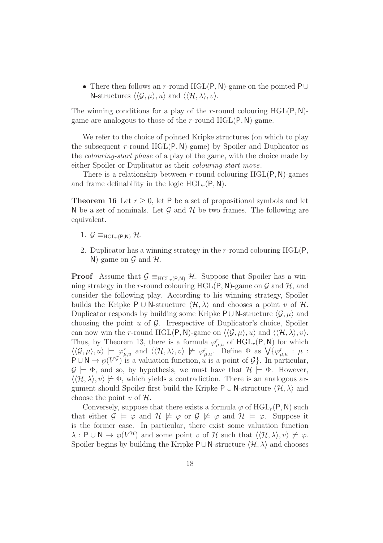• There then follows an r-round HGL(P, N)-game on the pointed P∪ N-structures  $\langle \langle \mathcal{G}, \mu \rangle, u \rangle$  and  $\langle \langle \mathcal{H}, \lambda \rangle, v \rangle$ .

The winning conditions for a play of the r-round colouring  $HGL(P, N)$ game are analogous to those of the r-round  $HGL(P, N)$ -game.

We refer to the choice of pointed Kripke structures (on which to play the subsequent r-round  $HGL(P, N)$ -game) by Spoiler and Duplicator as the colouring-start phase of a play of the game, with the choice made by either Spoiler or Duplicator as their colouring-start move.

There is a relationship between r-round colouring  $HGL(P, N)$ -games and frame definability in the logic  $HGL_r(P, N)$ .

**Theorem 16** Let  $r > 0$ , let P be a set of propositional symbols and let N be a set of nominals. Let  $\mathcal G$  and  $\mathcal H$  be two frames. The following are equivalent.

- 1.  $\mathcal{G} \equiv_{\text{HGL}_r(P,N)} \mathcal{H}$ .
- 2. Duplicator has a winning strategy in the  $r$ -round colouring  $HGL(P)$ , N)-game on  $\mathcal G$  and  $\mathcal H$ .

**Proof** Assume that  $\mathcal{G} \equiv_{\text{HGL}_r(P,N)} \mathcal{H}$ . Suppose that Spoiler has a winning strategy in the r-round colouring HGL(P, N)-game on  $\mathcal G$  and  $\mathcal H$ , and consider the following play. According to his winning strategy, Spoiler builds the Kripke P ∪ N-structure  $\langle \mathcal{H}, \lambda \rangle$  and chooses a point v of  $\mathcal{H}$ . Duplicator responds by building some Kripke P∪N-structure  $\langle \mathcal{G}, \mu \rangle$  and choosing the point  $u$  of  $\mathcal{G}$ . Irrespective of Duplicator's choice, Spoiler can now win the r-round HGL(P, N)-game on  $\langle \langle \mathcal{G}, \mu \rangle, u \rangle$  and  $\langle \langle \mathcal{H}, \lambda \rangle, v \rangle$ . Thus, by Theorem 13, there is a formula  $\varphi_{\mu,u}^r$  of  $HGL_r(P, N)$  for which  $\langle\langle \mathcal{G}, \mu \rangle, u \rangle \models \varphi_{\mu, u}^r$  and  $\langle\langle \mathcal{H}, \lambda \rangle, v \rangle \not\models \varphi_{\mu, u}^r$ . Define  $\Phi$  as  $\bigvee \{\varphi_{\mu, u}^r : \mu :$  $P \cup N \rightarrow \varphi(V^{\mathcal{G}})$  is a valuation function, u is a point of  $\mathcal{G}$ . In particular,  $\mathcal{G} \models \Phi$ , and so, by hypothesis, we must have that  $\mathcal{H} \models \Phi$ . However,  $\langle\langle \mathcal{H}, \lambda \rangle, v \rangle \not\models \Phi$ , which yields a contradiction. There is an analogous argument should Spoiler first build the Kripke P ∪ N-structure  $\langle \mathcal{H}, \lambda \rangle$  and choose the point v of  $\mathcal{H}$ .

Conversely, suppose that there exists a formula  $\varphi$  of  $HGL_r(P,N)$  such that either  $\mathcal{G} \models \varphi$  and  $\mathcal{H} \not\models \varphi$  or  $\mathcal{G} \not\models \varphi$  and  $\mathcal{H} \models \varphi$ . Suppose it is the former case. In particular, there exist some valuation function  $\lambda : \mathsf{P} \cup \mathsf{N} \to \wp(V^{\mathcal{H}})$  and some point v of H such that  $\langle \langle \mathcal{H}, \lambda \rangle, v \rangle \not\models \varphi$ . Spoiler begins by building the Kripke  $P \cup N$ -structure  $\langle \mathcal{H}, \lambda \rangle$  and chooses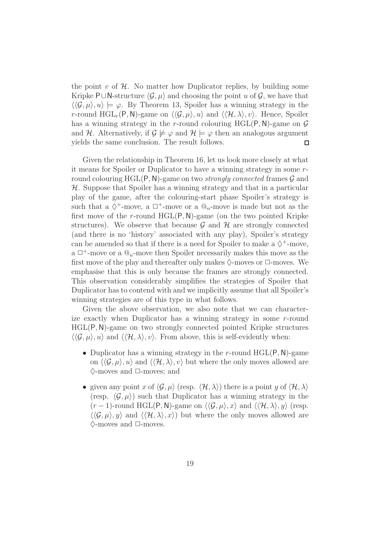the point v of  $\mathcal H$ . No matter how Duplicator replies, by building some Kripke P∪N-structure  $\langle G, \mu \rangle$  and choosing the point u of G, we have that  $\langle \langle \mathcal{G}, \mu \rangle, u \rangle \models \varphi$ . By Theorem 13, Spoiler has a winning strategy in the r-round  $HGL_r(P, N)$ -game on  $\langle\langle \mathcal{G}, \mu \rangle, u\rangle$  and  $\langle\langle \mathcal{H}, \lambda \rangle, v\rangle$ . Hence, Spoiler has a winning strategy in the r-round colouring HGL(P, N)-game on  $\mathcal G$ and H. Alternatively, if  $\mathcal{G} \not\models \varphi$  and  $\mathcal{H} \models \varphi$  then an analogous argument yields the same conclusion. The result follows.  $\Box$ 

Given the relationship in Theorem 16, let us look more closely at what it means for Spoiler or Duplicator to have a winning strategy in some rround colouring  $HGL(P, N)$ -game on two *strongly connected* frames  $G$  and  $H$ . Suppose that Spoiler has a winning strategy and that in a particular play of the game, after the colouring-start phase Spoiler's strategy is such that a  $\Diamond^+$ -move, a  $\Box^+$ -move or a  $@_n$ -move is made but not as the first move of the r-round  $HGL(P, N)$ -game (on the two pointed Kripke structures). We observe that because  $\mathcal G$  and  $\mathcal H$  are strongly connected (and there is no 'history' associated with any play), Spoiler's strategy can be amended so that if there is a need for Spoiler to make a  $\diamondsuit^+$ -move, a  $\Box^+$ -move or a  $\mathcal{Q}_n$ -move then Spoiler necessarily makes this move as the first move of the play and thereafter only makes  $\Diamond$ -moves or  $\Box$ -moves. We emphasise that this is only because the frames are strongly connected. This observation considerably simplifies the strategies of Spoiler that Duplicator has to contend with and we implicitly assume that all Spoiler's winning strategies are of this type in what follows.

Given the above observation, we also note that we can characterize exactly when Duplicator has a winning strategy in some r-round HGL(P,N)-game on two strongly connected pointed Kripke structures  $\langle\langle \mathcal{G}, \mu \rangle, u \rangle$  and  $\langle\langle \mathcal{H}, \lambda \rangle, v \rangle$ . From above, this is self-evidently when:

- Duplicator has a winning strategy in the r-round  $HGL(P, N)$ -game on  $\langle \langle \mathcal{G}, \mu \rangle, u \rangle$  and  $\langle \langle \mathcal{H}, \lambda \rangle, v \rangle$  but where the only moves allowed are  $\Diamond$ -moves and  $\Box$ -moves; and
- given any point x of  $\langle \mathcal{G}, \mu \rangle$  (resp.  $\langle \mathcal{H}, \lambda \rangle$ ) there is a point y of  $\langle \mathcal{H}, \lambda \rangle$ (resp.  $\langle \mathcal{G}, \mu \rangle$ ) such that Duplicator has a winning strategy in the  $(r-1)$ -round HGL(P, N)-game on  $\langle \langle \mathcal{G}, \mu \rangle, x \rangle$  and  $\langle \langle \mathcal{H}, \lambda \rangle, y \rangle$  (resp.  $\langle\langle \mathcal{G}, \mu \rangle, y \rangle$  and  $\langle\langle \mathcal{H}, \lambda \rangle, x \rangle$  but where the only moves allowed are  $\Diamond$ -moves and  $\Box$ -moves.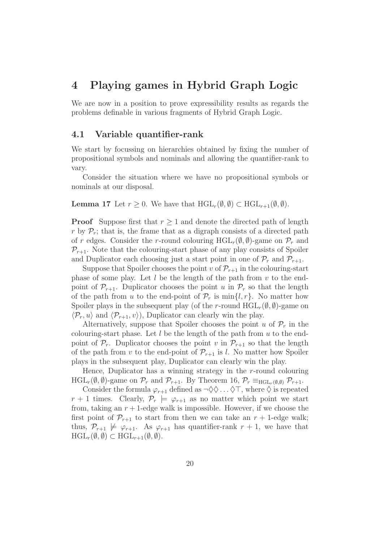### 4 Playing games in Hybrid Graph Logic

We are now in a position to prove expressibility results as regards the problems definable in various fragments of Hybrid Graph Logic.

#### 4.1 Variable quantifier-rank

We start by focussing on hierarchies obtained by fixing the number of propositional symbols and nominals and allowing the quantifier-rank to vary.

Consider the situation where we have no propositional symbols or nominals at our disposal.

#### **Lemma 17** Let  $r \geq 0$ . We have that  $HGL_r(\emptyset, \emptyset) \subset HGL_{r+1}(\emptyset, \emptyset)$ .

**Proof** Suppose first that  $r > 1$  and denote the directed path of length r by  $\mathcal{P}_r$ ; that is, the frame that as a digraph consists of a directed path of r edges. Consider the r-round colouring  $HGL_r(\emptyset, \emptyset)$ -game on  $\mathcal{P}_r$  and  $P_{r+1}$ . Note that the colouring-start phase of any play consists of Spoiler and Duplicator each choosing just a start point in one of  $\mathcal{P}_r$  and  $\mathcal{P}_{r+1}$ .

Suppose that Spoiler chooses the point v of  $\mathcal{P}_{r+1}$  in the colouring-start phase of some play. Let  $l$  be the length of the path from  $v$  to the endpoint of  $\mathcal{P}_{r+1}$ . Duplicator chooses the point u in  $\mathcal{P}_r$  so that the length of the path from u to the end-point of  $\mathcal{P}_r$  is  $\min\{l, r\}$ . No matter how Spoiler plays in the subsequent play (of the r-round  $HGL_r(\emptyset, \emptyset)$ -game on  $\langle \mathcal{P}_r, u \rangle$  and  $\langle \mathcal{P}_{r+1}, v \rangle$ , Duplicator can clearly win the play.

Alternatively, suppose that Spoiler chooses the point u of  $\mathcal{P}_r$  in the colouring-start phase. Let  $l$  be the length of the path from  $u$  to the endpoint of  $\mathcal{P}_r$ . Duplicator chooses the point v in  $\mathcal{P}_{r+1}$  so that the length of the path from v to the end-point of  $\mathcal{P}_{r+1}$  is l. No matter how Spoiler plays in the subsequent play, Duplicator can clearly win the play.

Hence, Duplicator has a winning strategy in the r-round colouring  $HGL_r(\emptyset, \emptyset)$ -game on  $\mathcal{P}_r$  and  $\mathcal{P}_{r+1}$ . By Theorem 16,  $\mathcal{P}_r \equiv_{HGL_r(\emptyset, \emptyset)} \mathcal{P}_{r+1}$ .

Consider the formula  $\varphi_{r+1}$  defined as  $\neg \Diamond \Diamond \dots \Diamond \top$ , where  $\Diamond$  is repeated  $r + 1$  times. Clearly,  $\mathcal{P}_r \models \varphi_{r+1}$  as no matter which point we start from, taking an  $r + 1$ -edge walk is impossible. However, if we choose the first point of  $\mathcal{P}_{r+1}$  to start from then we can take an  $r+1$ -edge walk; thus,  $\mathcal{P}_{r+1} \not\models \varphi_{r+1}$ . As  $\varphi_{r+1}$  has quantifier-rank  $r + 1$ , we have that  $HGL_r(\emptyset, \emptyset) \subset HGL_{r+1}(\emptyset, \emptyset).$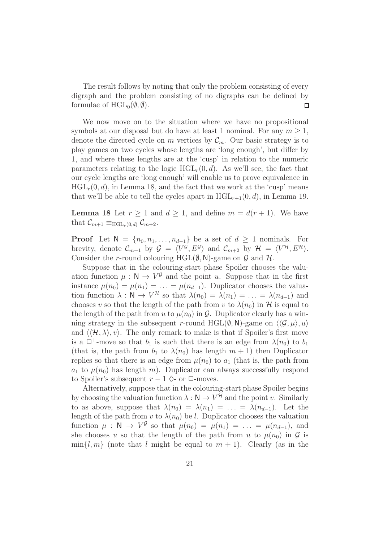The result follows by noting that only the problem consisting of every digraph and the problem consisting of no digraphs can be defined by formulae of  $HGL_0(\emptyset, \emptyset)$ .  $\Box$ 

We now move on to the situation where we have no propositional symbols at our disposal but do have at least 1 nominal. For any  $m \geq 1$ , denote the directed cycle on m vertices by  $\mathcal{C}_m$ . Our basic strategy is to play games on two cycles whose lengths are 'long enough', but differ by 1, and where these lengths are at the 'cusp' in relation to the numeric parameters relating to the logic  $HGL_r(0, d)$ . As we'll see, the fact that our cycle lengths are 'long enough' will enable us to prove equivalence in  $HGL<sub>r</sub>(0, d)$ , in Lemma 18, and the fact that we work at the 'cusp' means that we'll be able to tell the cycles apart in  $HGL_{r+1}(0, d)$ , in Lemma 19.

**Lemma 18** Let  $r \geq 1$  and  $d \geq 1$ , and define  $m = d(r + 1)$ . We have that  $\mathcal{C}_{m+1} \equiv_{\text{HGL}_r(0,d)} \mathcal{C}_{m+2}$ .

**Proof** Let  $N = \{n_0, n_1, \ldots, n_{d-1}\}\)$  be a set of  $d \geq 1$  nominals. For brevity, denote  $\mathcal{C}_{m+1}$  by  $\mathcal{G} = \langle V^{\mathcal{G}}, E^{\mathcal{G}} \rangle$  and  $\mathcal{C}_{m+2}$  by  $\mathcal{H} = \langle V^{\mathcal{H}}, E^{\mathcal{H}} \rangle$ . Consider the r-round colouring HGL $(\emptyset, N)$ -game on  $\mathcal G$  and  $\mathcal H$ .

Suppose that in the colouring-start phase Spoiler chooses the valuation function  $\mu : \mathbb{N} \to V^{\mathcal{G}}$  and the point u. Suppose that in the first instance  $\mu(n_0) = \mu(n_1) = \ldots = \mu(n_{d-1})$ . Duplicator chooses the valuation function  $\lambda : \mathsf{N} \to V^{\mathcal{H}}$  so that  $\lambda(n_0) = \lambda(n_1) = \ldots = \lambda(n_{d-1})$  and chooses v so that the length of the path from v to  $\lambda(n_0)$  in H is equal to the length of the path from u to  $\mu(n_0)$  in  $\mathcal{G}$ . Duplicator clearly has a winning strategy in the subsequent r-round HGL( $\emptyset$ , N)-game on  $\langle \langle \mathcal{G}, \mu \rangle, u \rangle$ and  $\langle\langle \mathcal{H}, \lambda \rangle, v\rangle$ . The only remark to make is that if Spoiler's first move is a  $\Box^+$ -move so that  $b_1$  is such that there is an edge from  $\lambda(n_0)$  to  $b_1$ (that is, the path from  $b_1$  to  $\lambda(n_0)$  has length  $m + 1$ ) then Duplicator replies so that there is an edge from  $\mu(n_0)$  to  $a_1$  (that is, the path from  $a_1$  to  $\mu(n_0)$  has length m). Duplicator can always successfully respond to Spoiler's subsequent  $r - 1$   $\Diamond$ - or  $\Box$ -moves.

Alternatively, suppose that in the colouring-start phase Spoiler begins by choosing the valuation function  $\lambda : \mathbb{N} \to V^{\mathcal{H}}$  and the point v. Similarly to as above, suppose that  $\lambda(n_0) = \lambda(n_1) = \ldots = \lambda(n_{d-1})$ . Let the length of the path from v to  $\lambda(n_0)$  be l. Duplicator chooses the valuation function  $\mu : \mathbb{N} \to V^{\mathcal{G}}$  so that  $\mu(n_0) = \mu(n_1) = \ldots = \mu(n_{d-1}),$  and she chooses u so that the length of the path from u to  $\mu(n_0)$  in G is  $\min\{l, m\}$  (note that l might be equal to  $m + 1$ ). Clearly (as in the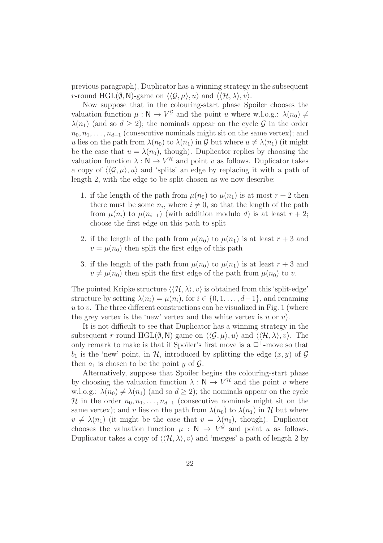previous paragraph), Duplicator has a winning strategy in the subsequent r-round HGL( $\emptyset$ , N)-game on  $\langle \langle \mathcal{G}, \mu \rangle, u \rangle$  and  $\langle \langle \mathcal{H}, \lambda \rangle, v \rangle$ .

Now suppose that in the colouring-start phase Spoiler chooses the valuation function  $\mu : \mathbb{N} \to V^{\mathcal{G}}$  and the point u where w.l.o.g.:  $\lambda(n_0) \neq$  $\lambda(n_1)$  (and so  $d \geq 2$ ); the nominals appear on the cycle G in the order  $n_0, n_1, \ldots, n_{d-1}$  (consecutive nominals might sit on the same vertex); and u lies on the path from  $\lambda(n_0)$  to  $\lambda(n_1)$  in G but where  $u \neq \lambda(n_1)$  (it might be the case that  $u = \lambda(n_0)$ , though). Duplicator replies by choosing the valuation function  $\lambda : \mathbb{N} \to V^{\mathcal{H}}$  and point v as follows. Duplicator takes a copy of  $\langle \langle \mathcal{G}, \mu \rangle, u \rangle$  and 'splits' an edge by replacing it with a path of length 2, with the edge to be split chosen as we now describe:

- 1. if the length of the path from  $\mu(n_0)$  to  $\mu(n_1)$  is at most  $r + 2$  then there must be some  $n_i$ , where  $i \neq 0$ , so that the length of the path from  $\mu(n_i)$  to  $\mu(n_{i+1})$  (with addition modulo d) is at least  $r+2$ ; choose the first edge on this path to split
- 2. if the length of the path from  $\mu(n_0)$  to  $\mu(n_1)$  is at least  $r+3$  and  $v = \mu(n_0)$  then split the first edge of this path
- 3. if the length of the path from  $\mu(n_0)$  to  $\mu(n_1)$  is at least  $r+3$  and  $v \neq \mu(n_0)$  then split the first edge of the path from  $\mu(n_0)$  to v.

The pointed Kripke structure  $\langle\langle \mathcal{H}, \lambda \rangle, v \rangle$  is obtained from this 'split-edge' structure by setting  $\lambda(n_i) = \mu(n_i)$ , for  $i \in \{0, 1, ..., d-1\}$ , and renaming u to v. The three different constructions can be visualized in Fig. 1 (where the grey vertex is the 'new' vertex and the white vertex is  $u$  or  $v$ ).

It is not difficult to see that Duplicator has a winning strategy in the subsequent r-round HGL( $\emptyset$ , N)-game on  $\langle\langle \mathcal{G}, \mu \rangle, u \rangle$  and  $\langle\langle \mathcal{H}, \lambda \rangle, v \rangle$ . The only remark to make is that if Spoiler's first move is a  $\Box^+$ -move so that  $b_1$  is the 'new' point, in H, introduced by splitting the edge  $(x, y)$  of G then  $a_1$  is chosen to be the point y of  $\mathcal G$ .

Alternatively, suppose that Spoiler begins the colouring-start phase by choosing the valuation function  $\lambda : \mathbb{N} \to V^{\mathcal{H}}$  and the point v where w.l.o.g.:  $\lambda(n_0) \neq \lambda(n_1)$  (and so  $d > 2$ ); the nominals appear on the cycle H in the order  $n_0, n_1, \ldots, n_{d-1}$  (consecutive nominals might sit on the same vertex); and v lies on the path from  $\lambda(n_0)$  to  $\lambda(n_1)$  in H but where  $v \neq \lambda(n_1)$  (it might be the case that  $v = \lambda(n_0)$ , though). Duplicator chooses the valuation function  $\mu : \mathbb{N} \to V^{\mathcal{G}}$  and point u as follows. Duplicator takes a copy of  $\langle\langle \mathcal{H}, \lambda \rangle, v \rangle$  and 'merges' a path of length 2 by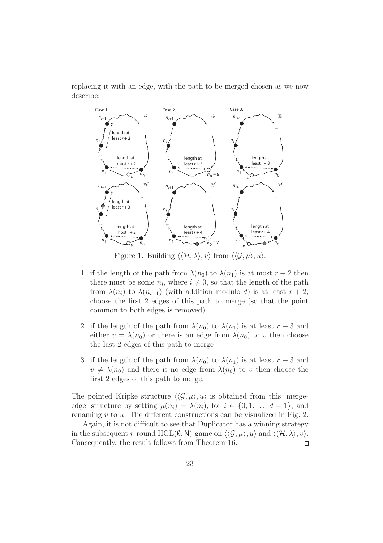replacing it with an edge, with the path to be merged chosen as we now describe:



Figure 1. Building  $\langle\langle \mathcal{H}, \lambda \rangle, v \rangle$  from  $\langle\langle \mathcal{G}, \mu \rangle, u \rangle$ .

- 1. if the length of the path from  $\lambda(n_0)$  to  $\lambda(n_1)$  is at most  $r + 2$  then there must be some  $n_i$ , where  $i \neq 0$ , so that the length of the path from  $\lambda(n_i)$  to  $\lambda(n_{i+1})$  (with addition modulo d) is at least  $r+2$ ; choose the first 2 edges of this path to merge (so that the point common to both edges is removed)
- 2. if the length of the path from  $\lambda(n_0)$  to  $\lambda(n_1)$  is at least  $r+3$  and either  $v = \lambda(n_0)$  or there is an edge from  $\lambda(n_0)$  to v then choose the last 2 edges of this path to merge
- 3. if the length of the path from  $\lambda(n_0)$  to  $\lambda(n_1)$  is at least  $r+3$  and  $v \neq \lambda(n_0)$  and there is no edge from  $\lambda(n_0)$  to v then choose the first 2 edges of this path to merge.

The pointed Kripke structure  $\langle \langle \mathcal{G}, \mu \rangle, u \rangle$  is obtained from this 'mergeedge' structure by setting  $\mu(n_i) = \lambda(n_i)$ , for  $i \in \{0, 1, ..., d-1\}$ , and renaming  $v$  to  $u$ . The different constructions can be visualized in Fig. 2.

Again, it is not difficult to see that Duplicator has a winning strategy in the subsequent r-round HGL( $\emptyset$ , N)-game on  $\langle\langle \mathcal{G}, \mu \rangle, u \rangle$  and  $\langle\langle \mathcal{H}, \lambda \rangle, v \rangle$ . Consequently, the result follows from Theorem 16.  $\Box$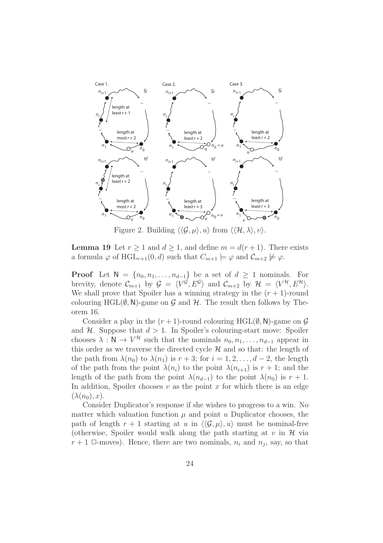

Figure 2. Building  $\langle \langle \mathcal{G}, \mu \rangle, u \rangle$  from  $\langle \langle \mathcal{H}, \lambda \rangle, v \rangle$ .

**Lemma 19** Let  $r \ge 1$  and  $d \ge 1$ , and define  $m = d(r + 1)$ . There exists a formula  $\varphi$  of HGL<sub>r+1</sub>(0, d) such that  $C_{m+1} \models \varphi$  and  $C_{m+2} \not\models \varphi$ .

**Proof** Let  $N = \{n_0, n_1, \ldots, n_{d-1}\}\$ be a set of  $d \geq 1$  nominals. For brevity, denote  $\mathcal{C}_{m+1}$  by  $\mathcal{G} = \langle V^{\mathcal{G}}, E^{\mathcal{G}} \rangle$  and  $\mathcal{C}_{m+2}$  by  $\mathcal{H} = \langle V^{\mathcal{H}}, E^{\mathcal{H}} \rangle$ . We shall prove that Spoiler has a winning strategy in the  $(r + 1)$ -round colouring HGL $(\emptyset, N)$ -game on G and H. The result then follows by Theorem 16.

Consider a play in the  $(r + 1)$ -round colouring HGL $(\emptyset, \mathbb{N})$ -game on  $\mathcal G$ and  $H$ . Suppose that  $d > 1$ . In Spoiler's colouring-start move: Spoiler chooses  $\lambda : \mathsf{N} \to V^{\mathcal{H}}$  such that the nominals  $n_0, n_1, \ldots, n_{d-1}$  appear in this order as we traverse the directed cycle  $\mathcal H$  and so that: the length of the path from  $\lambda(n_0)$  to  $\lambda(n_1)$  is  $r+3$ ; for  $i=1,2,\ldots,d-2$ , the length of the path from the point  $\lambda(n_i)$  to the point  $\lambda(n_{i+1})$  is  $r + 1$ ; and the length of the path from the point  $\lambda(n_{d-1})$  to the point  $\lambda(n_0)$  is  $r + 1$ . In addition, Spoiler chooses  $v$  as the point  $x$  for which there is an edge  $(\lambda(n_0), x)$ .

Consider Duplicator's response if she wishes to progress to a win. No matter which valuation function  $\mu$  and point  $u$  Duplicator chooses, the path of length  $r + 1$  starting at u in  $\langle \langle \mathcal{G}, \mu \rangle, u \rangle$  must be nominal-free (otherwise, Spoiler would walk along the path starting at  $v$  in  $\mathcal H$  via  $r+1$   $\Box$ -moves). Hence, there are two nominals,  $n_i$  and  $n_j$ , say, so that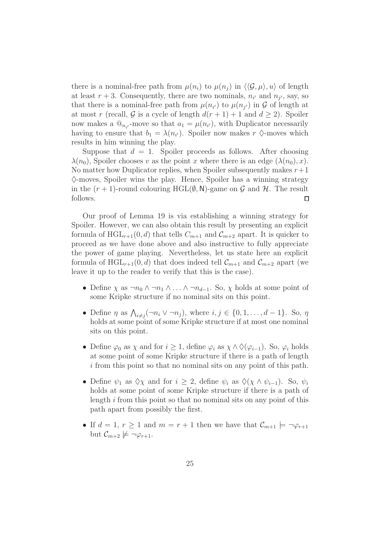there is a nominal-free path from  $\mu(n_i)$  to  $\mu(n_i)$  in  $\langle \langle \mathcal{G}, \mu \rangle, u \rangle$  of length at least  $r + 3$ . Consequently, there are two nominals,  $n_{i'}$  and  $n_{j'}$ , say, so that there is a nominal-free path from  $\mu(n_{i'})$  to  $\mu(n_{j'})$  in G of length at at most r (recall, G is a cycle of length  $d(r + 1) + 1$  and  $d \ge 2$ ). Spoiler now makes a  $\mathbb{Q}_{n_{i'}}$ -move so that  $a_1 = \mu(n_{i'})$ , with Duplicator necessarily having to ensure that  $b_1 = \lambda(n_{i'})$ . Spoiler now makes  $r \diamond$ -moves which results in him winning the play.

Suppose that  $d = 1$ . Spoiler proceeds as follows. After choosing  $\lambda(n_0)$ , Spoiler chooses v as the point x where there is an edge  $(\lambda(n_0), x)$ . No matter how Duplicator replies, when Spoiler subsequently makes  $r+1$  $\Diamond$ -moves, Spoiler wins the play. Hence, Spoiler has a winning strategy in the  $(r + 1)$ -round colouring HGL $(\emptyset, \mathsf{N})$ -game on  $\mathcal G$  and  $\mathcal H$ . The result follows.  $\Box$ 

Our proof of Lemma 19 is via establishing a winning strategy for Spoiler. However, we can also obtain this result by presenting an explicit formula of  $HGL_{r+1}(0, d)$  that tells  $C_{m+1}$  and  $C_{m+2}$  apart. It is quicker to proceed as we have done above and also instructive to fully appreciate the power of game playing. Nevertheless, let us state here an explicit formula of  $HGL_{r+1}(0,d)$  that does indeed tell  $\mathcal{C}_{m+1}$  and  $\mathcal{C}_{m+2}$  apart (we leave it up to the reader to verify that this is the case).

- Define  $\chi$  as  $\neg n_0 \wedge \neg n_1 \wedge \dots \wedge \neg n_{d-1}$ . So,  $\chi$  holds at some point of some Kripke structure if no nominal sits on this point.
- Define  $\eta$  as  $\bigwedge_{i \neq j} (\neg n_i \vee \neg n_j)$ , where  $i, j \in \{0, 1, \ldots, d 1\}$ . So,  $\eta$ holds at some point of some Kripke structure if at most one nominal sits on this point.
- Define  $\varphi_0$  as  $\chi$  and for  $i \geq 1$ , define  $\varphi_i$  as  $\chi \wedge \Diamond(\varphi_{i-1})$ . So,  $\varphi_i$  holds at some point of some Kripke structure if there is a path of length i from this point so that no nominal sits on any point of this path.
- Define  $\psi_1$  as  $\Diamond \chi$  and for  $i \geq 2$ , define  $\psi_i$  as  $\Diamond (\chi \wedge \psi_{i-1})$ . So,  $\psi_i$ holds at some point of some Kripke structure if there is a path of length i from this point so that no nominal sits on any point of this path apart from possibly the first.
- If  $d = 1, r \geq 1$  and  $m = r + 1$  then we have that  $\mathcal{C}_{m+1} \models \neg \varphi_{r+1}$ but  $\mathcal{C}_{m+2} \not\models \neg \varphi_{r+1}$ .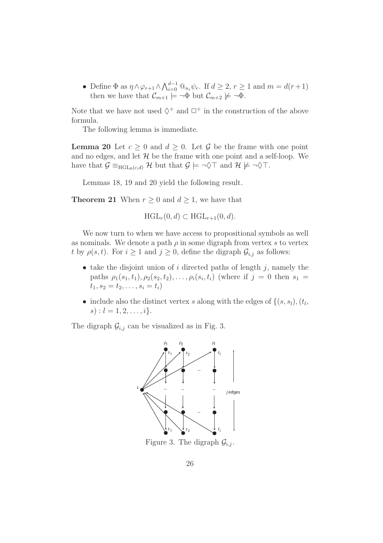• Define  $\Phi$  as  $\eta \wedge \varphi_{r+1} \wedge \bigwedge_{i=0}^{d-1} \mathbb{Q}_{n_i} \psi_r$ . If  $d \geq 2, r \geq 1$  and  $m = d(r+1)$ then we have that  $\mathcal{C}_{m+1} \models \neg \Phi$  but  $\mathcal{C}_{m+2} \not\models \neg \Phi$ .

Note that we have not used  $\diamondsuit^+$  and  $\square^+$  in the construction of the above formula.

The following lemma is immediate.

**Lemma 20** Let  $c \geq 0$  and  $d \geq 0$ . Let G be the frame with one point and no edges, and let  $H$  be the frame with one point and a self-loop. We have that  $\mathcal{G} \equiv_{\text{HGL}_0(c,d)} \mathcal{H}$  but that  $\mathcal{G} \models \neg \Diamond \top$  and  $\mathcal{H} \not\models \neg \Diamond \top$ .

Lemmas 18, 19 and 20 yield the following result.

**Theorem 21** When  $r \geq 0$  and  $d \geq 1$ , we have that

 $HGL_r(0, d) \subset HGL_{r+1}(0, d).$ 

We now turn to when we have access to propositional symbols as well as nominals. We denote a path  $\rho$  in some digraph from vertex s to vertex t by  $\rho(s, t)$ . For  $i \geq 1$  and  $j \geq 0$ , define the digraph  $\mathcal{G}_{i,j}$  as follows:

- take the disjoint union of  $i$  directed paths of length  $j$ , namely the paths  $\rho_1(s_1,t_1), \rho_2(s_2,t_2), \ldots, \rho_i(s_i,t_i)$  (where if  $j = 0$  then  $s_1 =$  $t_1, s_2 = t_2, \ldots, s_i = t_i$
- include also the distinct vertex s along with the edges of  $\{(s, s_l), (t_l,$  $s)$ :  $l = 1, 2, \ldots, i$ .

The digraph  $\mathcal{G}_{i,j}$  can be visualized as in Fig. 3.



Figure 3. The digraph  $\mathcal{G}_{i,j}$ .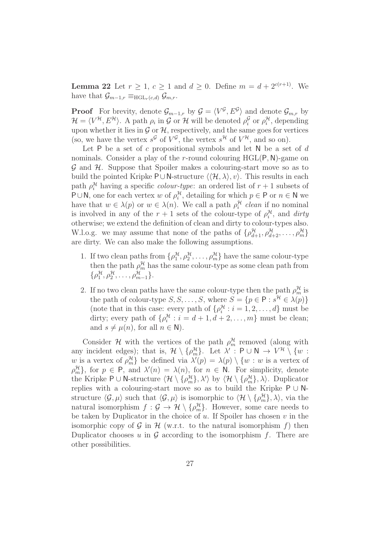**Lemma 22** Let  $r \ge 1$ ,  $c \ge 1$  and  $d \ge 0$ . Define  $m = d + 2^{c(r+1)}$ . We have that  $\mathcal{G}_{m-1,r} \equiv_{\text{HGL}_r(c,d)} \mathcal{G}_{m,r}.$ 

**Proof** For brevity, denote  $\mathcal{G}_{m-1,r}$  by  $\mathcal{G} = \langle V^{\mathcal{G}}, E^{\mathcal{G}} \rangle$  and denote  $\mathcal{G}_{m,r}$  by  $\mathcal{H} = \langle V^{\mathcal{H}}, E^{\mathcal{H}} \rangle$ . A path  $\rho_i$  in G or H will be denoted  $\rho_i^{\mathcal{G}}$  $\int_i^{\mathcal{G}}$  or  $\rho_i^{\mathcal{H}}$ , depending upon whether it lies in  $\mathcal G$  or  $\mathcal H$ , respectively, and the same goes for vertices (so, we have the vertex  $s^{\mathcal{G}}$  of  $V^{\mathcal{G}}$ , the vertex  $s^{\mathcal{H}}$  of  $V^{\mathcal{H}}$ , and so on).

Let P be a set of c propositional symbols and let N be a set of  $d$ nominals. Consider a play of the *r*-round colouring  $HGL(P, N)$ -game on  $\mathcal G$  and  $\mathcal H$ . Suppose that Spoiler makes a colouring-start move so as to build the pointed Kripke P∪N-structure  $\langle \langle \mathcal{H}, \lambda \rangle, v \rangle$ . This results in each path  $\rho_i^{\mathcal{H}}$  having a specific *colour-type*: an ordered list of  $r + 1$  subsets of P∪N, one for each vertex w of  $\rho_i^{\mathcal{H}}$ , detailing for which  $p \in P$  or  $n \in N$  we have that  $w \in \lambda(p)$  or  $w \in \lambda(n)$ . We call a path  $\rho_i^{\mathcal{H}}$  clean if no nominal is involved in any of the  $r + 1$  sets of the colour-type of  $\rho_i^{\mathcal{H}}$ , and dirty otherwise; we extend the definition of clean and dirty to colour-types also. W.l.o.g. we may assume that none of the paths of  $\{\rho_{d+1}^{\mathcal{H}}, \rho_{d+2}^{\mathcal{H}}, \ldots, \rho_m^{\mathcal{H}}\}$ are dirty. We can also make the following assumptions.

- 1. If two clean paths from  $\{\rho_1^{\mathcal{H}}, \rho_2^{\mathcal{H}}, \ldots, \rho_m^{\mathcal{H}}\}$  have the same colour-type then the path  $\rho_m^{\mathcal{H}}$  has the same colour-type as some clean path from  $\{\rho_1^{\mathcal{H}}, \rho_2^{\mathcal{H}}, \ldots, \rho_{m-1}^{\mathcal{H}}\}.$
- 2. If no two clean paths have the same colour-type then the path  $\rho_m^{\mathcal{H}}$  is the path of colour-type  $S, S, \ldots, S$ , where  $S = \{p \in \mathsf{P} : s^{\mathcal{H}} \in \lambda(p)\}\$ (note that in this case: every path of  $\{\rho_i^{\mathcal{H}} : i = 1, 2, ..., d\}$  must be dirty; every path of  $\{\rho_i^{\mathcal{H}} : i = d + 1, d + 2, \ldots, m\}$  must be clean; and  $s \neq \mu(n)$ , for all  $n \in \mathbb{N}$ ).

Consider  $\mathcal H$  with the vertices of the path  $\rho_m^{\mathcal H}$  removed (along with any incident edges); that is,  $\mathcal{H} \setminus {\{\rho_m^{\mathcal{H}}\}}$ . Let  $\lambda'$ :  $P \cup N \rightarrow V^{\mathcal{H}} \setminus \{w:$ w is a vertex of  $\rho_m^{\mathcal{H}}$  be defined via  $\lambda'(p) = \lambda(p) \setminus \{w : w$  is a vertex of  $\rho_m^{\mathcal{H}}$ , for  $p \in \mathsf{P}$ , and  $\lambda'(n) = \lambda(n)$ , for  $n \in \mathsf{N}$ . For simplicity, denote the Kripke P  $\cup$  N-structure  $\langle \mathcal{H} \setminus {\{\rho_m^{\mathcal{H}}\}, \lambda'\rangle}$  by  $\langle \mathcal{H} \setminus {\{\rho_m^{\mathcal{H}}\}, \lambda\rangle}$ . Duplicator replies with a colouring-start move so as to build the Kripke  $P \cup N$ structure  $\langle \mathcal{G}, \mu \rangle$  such that  $\langle \mathcal{G}, \mu \rangle$  is isomorphic to  $\langle \mathcal{H} \setminus {\{\rho_m^{\mathcal{H}}\}, \lambda \rangle}$ , via the natural isomorphism  $f : \mathcal{G} \to \mathcal{H} \setminus {\{\rho_m^{\mathcal{H}}\}}$ . However, some care needs to be taken by Duplicator in the choice of  $u$ . If Spoiler has chosen  $v$  in the isomorphic copy of  $\mathcal G$  in  $\mathcal H$  (w.r.t. to the natural isomorphism f) then Duplicator chooses u in  $\mathcal G$  according to the isomorphism f. There are other possibilities.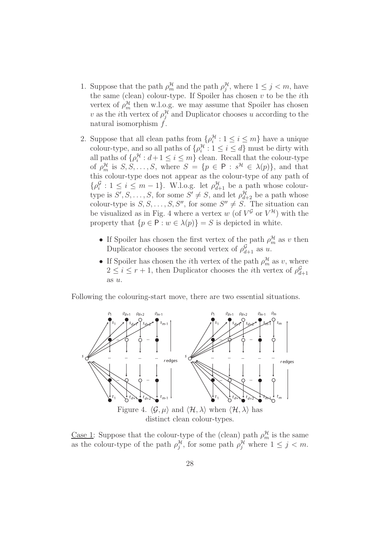- 1. Suppose that the path  $\rho_m^{\mathcal{H}}$  and the path  $\rho_j^{\mathcal{H}}$ , where  $1 \leq j \leq m$ , have the same (clean) colour-type. If Spoiler has chosen  $v$  to be the *i*th vertex of  $\rho_m^{\mathcal{H}}$  then w.l.o.g. we may assume that Spoiler has chosen v as the *i*th vertex of  $\rho_j^{\mathcal{H}}$  and Duplicator chooses u according to the natural isomorphism  $\tilde{f}$ .
- 2. Suppose that all clean paths from  $\{\rho_i^{\mathcal{H}}: 1 \leq i \leq m\}$  have a unique colour-type, and so all paths of  $\{\rho_i^{\mathcal{H}}: 1 \leq i \leq d\}$  must be dirty with all paths of  $\{\rho_i^{\mathcal{H}}: d+1 \leq i \leq m\}$  clean. Recall that the colour-type of  $\rho_m^{\mathcal{H}}$  is  $S, S, \ldots, S$ , where  $S = \{p \in \mathsf{P} : s^{\mathcal{H}} \in \lambda(p)\}\$ , and that this colour-type does not appear as the colour-type of any path of  $\{\rho_i^{\mathcal{G}}\}$  $\frac{g}{i}: 1 \leq i \leq m-1$ . W.l.o.g. let  $\rho_{d+1}^{\mathcal{H}}$  be a path whose colourtype is  $S', S, \ldots, S$ , for some  $S' \neq S$ , and let  $\rho_{d+2}^{\mathcal{H}}$  be a path whose colour-type is  $S, S, \ldots, S, S''$ , for some  $S'' \neq S$ . The situation can be visualized as in Fig. 4 where a vertex w (of  $V^{\mathcal{G}}$  or  $V^{\mathcal{H}}$ ) with the property that  $\{p \in \mathsf{P} : w \in \lambda(p)\} = S$  is depicted in white.
	- If Spoiler has chosen the first vertex of the path  $\rho_m^{\mathcal{H}}$  as v then Duplicator chooses the second vertex of  $\rho_{d+1}^{\mathcal{G}}$  as u.
	- If Spoiler has chosen the *i*<sup>th</sup> vertex of the path  $\rho_m^{\mathcal{H}}$  as v, where  $2 \leq i \leq r+1$ , then Duplicator chooses the *i*th vertex of  $\rho_d^{\mathcal{G}}$  $d+1$ as u.

Following the colouring-start move, there are two essential situations.



<u>Case 1</u>: Suppose that the colour-type of the (clean) path  $\rho_m^{\mathcal{H}}$  is the same as the colour-type of the path  $\rho_j^{\mathcal{H}}$ , for some path  $\rho_j^{\mathcal{H}}$  where  $1 \leq j \leq m$ .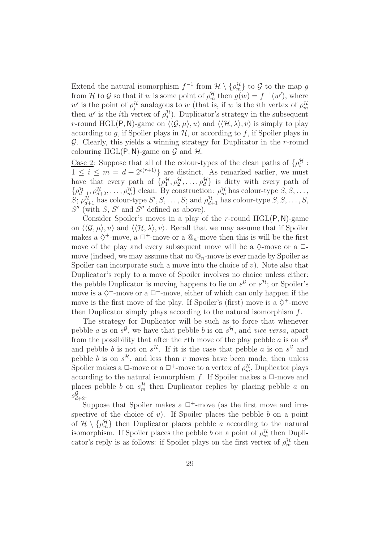Extend the natural isomorphism  $f^{-1}$  from  $\mathcal{H} \setminus {\rho_m^{\mathcal{H}}}$  to  $\mathcal{G}$  to the map g from H to G so that if w is some point of  $\rho_m^{\mathcal{H}}$  then  $g(w) = f^{-1}(w')$ , where w' is the point of  $\rho_j^{\mathcal{H}}$  analogous to w (that is, if w is the *i*th vertex of  $\rho_m^{\mathcal{H}}$ then w' is the *i*th vertex of  $\rho_j^{\mathcal{H}}$ ). Duplicator's strategy in the subsequent r-round HGL(P, N)-game on  $\langle \langle \mathcal{G}, \mu \rangle, u \rangle$  and  $\langle \langle \mathcal{H}, \lambda \rangle, v \rangle$  is simply to play according to q, if Spoiler plays in  $H$ , or according to f, if Spoiler plays in  $\mathcal G$ . Clearly, this yields a winning strategy for Duplicator in the r-round colouring HGL(P, N)-game on  $\mathcal G$  and  $\mathcal H$ .

<u>Case 2</u>: Suppose that all of the colour-types of the clean paths of  $\{\rho_i^{\mathcal{H}}:$  $1 \leq i \leq m = d + 2^{c(r+1)}$  are distinct. As remarked earlier, we must have that every path of  $\{\rho_1^{\mathcal{H}}, \rho_2^{\mathcal{H}}, \ldots, \rho_d^{\mathcal{H}}\}$  is dirty with every path of  $\{\rho_{d+1}^{\mathcal{H}}, \rho_{d+2}^{\mathcal{H}}, \ldots, \rho_m^{\mathcal{H}}\}$  clean. By construction:  $\rho_m^{\mathcal{H}}$  has colour-type  $S, S, \ldots$ , S;  $\rho_{d+1}^{\mathcal{H}}$  has colour-type  $S', S, \ldots, S$ ; and  $\rho_{d+1}^{\mathcal{H}}$  has colour-type  $S, S, \ldots, S$ ,  $S''$  (with  $S$ ,  $S'$  and  $S''$  defined as above).

Consider Spoiler's moves in a play of the r-round  $HGL(P, N)$ -game on  $\langle \langle \mathcal{G}, \mu \rangle, u \rangle$  and  $\langle \langle \mathcal{H}, \lambda \rangle, v \rangle$ . Recall that we may assume that if Spoiler makes a  $\diamondsuit^+$ -move, a  $\square^+$ -move or a  $\mathcal{Q}_n$ -move then this is will be the first move of the play and every subsequent move will be a  $\Diamond$ -move or a  $\Box$ move (indeed, we may assume that no  $\mathbb{Q}_n$ -move is ever made by Spoiler as Spoiler can incorporate such a move into the choice of  $v$ ). Note also that Duplicator's reply to a move of Spoiler involves no choice unless either: the pebble Duplicator is moving happens to lie on  $s^{\mathcal{G}}$  or  $s^{\mathcal{H}}$ ; or Spoiler's move is a  $\Diamond^+$ -move or a  $\Box^+$ -move, either of which can only happen if the move is the first move of the play. If Spoiler's (first) move is a  $\diamondsuit^+$ -move then Duplicator simply plays according to the natural isomorphism f.

The strategy for Duplicator will be such as to force that whenever pebble *a* is on  $s^{\mathcal{G}}$ , we have that pebble *b* is on  $s^{\mathcal{H}}$ , and *vice versa*, apart from the possibility that after the rth move of the play pebble a is on  $s^{\mathcal{G}}$ and pebble b is not on  $s^{\mathcal{H}}$ . If it is the case that pebble a is on  $s^{\mathcal{G}}$  and pebble b is on  $s^{\mathcal{H}}$ , and less than r moves have been made, then unless Spoiler makes a  $\Box$ -move or a  $\Box$ <sup>+</sup>-move to a vertex of  $\rho_m^{\mathcal{H}}$ , Duplicator plays according to the natural isomorphism f. If Spoiler makes a  $\Box$ -move and places pebble b on  $s_m^{\mathcal{H}}$  then Duplicator replies by placing pebble a on  $s_{d+2}^{\mathcal{G}}$ .

Suppose that Spoiler makes a  $\Box^+$ -move (as the first move and irrespective of the choice of v). If Spoiler places the pebble  $b$  on a point of  $\mathcal{H} \setminus {\rho_m^{\mathcal{H}}}$  then Duplicator places pebble a according to the natural isomorphism. If Spoiler places the pebble b on a point of  $\rho_m^{\mathcal{H}}$  then Duplicator's reply is as follows: if Spoiler plays on the first vertex of  $\rho_m^{\mathcal{H}}$  then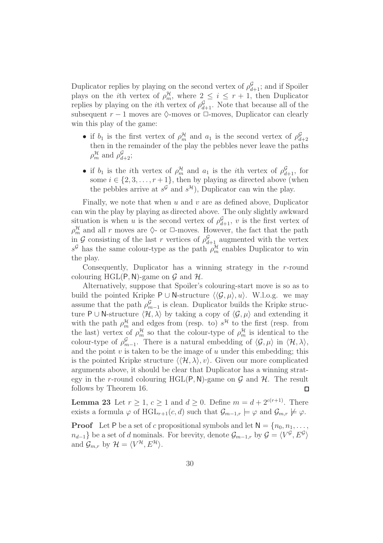Duplicator replies by playing on the second vertex of  $\rho_{d+1}^{\mathcal{G}}$ ; and if Spoiler plays on the *i*th vertex of  $\rho_m^{\mathcal{H}}$ , where  $2 \leq i \leq r+1$ , then Duplicator replies by playing on the *i*th vertex of  $\rho_{d+1}^{\mathcal{G}}$ . Note that because all of the subsequent  $r - 1$  moves are  $\Diamond$ -moves or  $\Box$ -moves, Duplicator can clearly win this play of the game:

- if  $b_1$  is the first vertex of  $\rho_m^{\mathcal{H}}$  and  $a_1$  is the second vertex of  $\rho_d^{\mathcal{G}}$  $d+2$ then in the remainder of the play the pebbles never leave the paths  $\rho_m^{\mathcal{H}}$  and  $\rho_{d+2}^{\mathcal{G}}$ ;
- if  $b_1$  is the *i*th vertex of  $\rho_m^{\mathcal{H}}$  and  $a_1$  is the *i*th vertex of  $\rho_{d+1}^{\mathcal{G}}$ , for some  $i \in \{2, 3, \ldots, r+1\}$ , then by playing as directed above (when the pebbles arrive at  $s^{\mathcal{G}}$  and  $s^{\mathcal{H}}$ ), Duplicator can win the play.

Finally, we note that when  $u$  and  $v$  are as defined above. Duplicator can win the play by playing as directed above. The only slightly awkward situation is when u is the second vertex of  $\rho_{d+1}^{\mathcal{G}}$ , v is the first vertex of  $\rho_m^{\mathcal{H}}$  and all r moves are  $\Diamond$ - or  $\Box$ -moves. However, the fact that the path in G consisting of the last r vertices of  $\rho_{d+1}^{\mathcal{G}}$  augmented with the vertex  $s^{\mathcal{G}}$  has the same colour-type as the path  $\rho_m^{\mathcal{H}}$  enables Duplicator to win the play.

Consequently, Duplicator has a winning strategy in the  $r$ -round colouring HGL(P, N)-game on  $\mathcal G$  and  $\mathcal H$ .

Alternatively, suppose that Spoiler's colouring-start move is so as to build the pointed Kripke P ∪ N-structure  $\langle \langle \mathcal{G}, \mu \rangle, u \rangle$ . W.l.o.g. we may assume that the path  $\rho_{m-1}^{\mathcal{G}}$  is clean. Duplicator builds the Kripke structure P ∪ N-structure  $\langle \mathcal{H}, \lambda \rangle$  by taking a copy of  $\langle \mathcal{G}, \mu \rangle$  and extending it with the path  $\rho_m^{\mathcal{H}}$  and edges from (resp. to)  $s^{\mathcal{H}}$  to the first (resp. from the last) vertex of  $\rho_m^{\mathcal{H}}$  so that the colour-type of  $\rho_m^{\mathcal{H}}$  is identical to the colour-type of  $\rho_{m-1}^{\mathcal{G}}$ . There is a natural embedding of  $\langle \mathcal{G}, \mu \rangle$  in  $\langle \mathcal{H}, \lambda \rangle$ , and the point  $v$  is taken to be the image of  $u$  under this embedding; this is the pointed Kripke structure  $\langle\langle \mathcal{H}, \lambda \rangle, v\rangle$ . Given our more complicated arguments above, it should be clear that Duplicator has a winning strategy in the r-round colouring HGL(P, N)-game on  $\mathcal G$  and  $\mathcal H$ . The result follows by Theorem 16.  $\Box$ 

**Lemma 23** Let  $r \geq 1$ ,  $c \geq 1$  and  $d \geq 0$ . Define  $m = d + 2^{c(r+1)}$ . There exists a formula  $\varphi$  of HGL<sub>r+1</sub>(c, d) such that  $\mathcal{G}_{m-1,r} \models \varphi$  and  $\mathcal{G}_{m,r} \not\models \varphi$ .

**Proof** Let P be a set of c propositional symbols and let  $N = \{n_0, n_1, \ldots, n_k\}$  $n_{d-1}$ } be a set of d nominals. For brevity, denote  $\mathcal{G}_{m-1,r}$  by  $\mathcal{G} = \langle V^{\mathcal{G}}, E^{\mathcal{G}} \rangle$ and  $\mathcal{G}_{m,r}$  by  $\mathcal{H} = \langle V^{\mathcal{H}}, E^{\mathcal{H}} \rangle$ .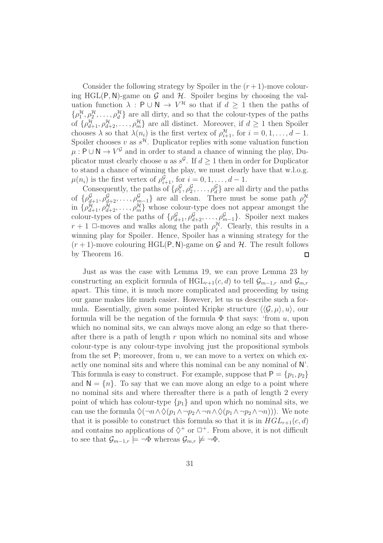Consider the following strategy by Spoiler in the  $(r+1)$ -move colouring HGL(P, N)-game on G and H. Spoiler begins by choosing the valuation function  $\lambda$ : P  $\cup$  N  $\rightarrow$   $V^{\mathcal{H}}$  so that if  $d \geq 1$  then the paths of  $\{\rho_1^{\mathcal{H}}, \rho_2^{\mathcal{H}}, \ldots, \rho_d^{\mathcal{H}}\}$  are all dirty, and so that the colour-types of the paths of  $\{\rho_{d+1}^{\mathcal{H}}, \rho_{d+2}^{\mathcal{H}}, \ldots, \rho_m^{\mathcal{H}}\}$  are all distinct. Moreover, if  $d \geq 1$  then Spoiler chooses  $\lambda$  so that  $\lambda(n_i)$  is the first vertex of  $\rho_{i+1}^{\mathcal{H}}$ , for  $i = 0, 1, \ldots, d - 1$ . Spoiler chooses v as  $s^{\mathcal{H}}$ . Duplicator replies with some valuation function  $\mu: \mathsf{P} \cup \mathsf{N} \to V^{\mathcal{G}}$  and in order to stand a chance of winning the play, Duplicator must clearly choose u as  $s^{\mathcal{G}}$ . If  $d \geq 1$  then in order for Duplicator to stand a chance of winning the play, we must clearly have that w.l.o.g.  $\mu(n_i)$  is the first vertex of  $\rho_{i+1}^{\mathcal{G}}$ , for  $i = 0, 1, ..., d - 1$ .

Consequently, the paths of  $\{\rho_1^{\mathcal{G}}\}$  $\mathcal{G}_1^{\mathcal{G}}, \mathcal{G}_2^{\mathcal{G}}, \ldots, \mathcal{G}_d^{\mathcal{G}}\}$  are all dirty and the paths of  $\{\rho_{d+1}^{\mathcal{G}}, \rho_{d+2}^{\mathcal{G}}, \ldots, \rho_{m-1}^{\mathcal{G}}\}$  are all clean. There must be some path  $\rho_j^{\mathcal{H}}$ in  $\{\rho_{d+1}^{\mathcal{H}}, \rho_{d+2}^{\mathcal{H}}, \ldots, \rho_m^{\mathcal{H}}\}\$  whose colour-type does not appear amongst the colour-types of the paths of  $\{\rho_{d+1}^{\mathcal{G}}, \rho_{d+2}^{\mathcal{G}}, \ldots, \rho_{m-1}^{\mathcal{G}}\}$ . Spoiler next makes  $r+1$   $\Box$ -moves and walks along the path  $\rho_j^{\mathcal{H}}$ . Clearly, this results in a winning play for Spoiler. Hence, Spoiler has a winning strategy for the  $(r+1)$ -move colouring HGL(P, N)-game on G and H. The result follows by Theorem 16.  $\Box$ 

Just as was the case with Lemma 19, we can prove Lemma 23 by constructing an explicit formula of  $HGL_{r+1}(c, d)$  to tell  $\mathcal{G}_{m-1,r}$  and  $\mathcal{G}_{m,r}$ apart. This time, it is much more complicated and proceeding by using our game makes life much easier. However, let us us describe such a formula. Essentially, given some pointed Kripke structure  $\langle \langle \mathcal{G}, \mu \rangle, u \rangle$ , our formula will be the negation of the formula  $\Phi$  that says: 'from u, upon which no nominal sits, we can always move along an edge so that thereafter there is a path of length  $r$  upon which no nominal sits and whose colour-type is any colour-type involving just the propositional symbols from the set  $P$ ; moreover, from  $u$ , we can move to a vertex on which exactly one nominal sits and where this nominal can be any nominal of N'. This formula is easy to construct. For example, suppose that  $P = \{p_1, p_2\}$ and  $N = \{n\}$ . To say that we can move along an edge to a point where no nominal sits and where thereafter there is a path of length 2 every point of which has colour-type  $\{p_1\}$  and upon which no nominal sits, we can use the formula  $\Diamond(\neg n \land \Diamond(p_1 \land \neg p_2 \land \neg n \land \Diamond(p_1 \land \neg p_2 \land \neg n)))$ . We note that it is possible to construct this formula so that it is in  $HGL_{r+1}(c, d)$ and contains no applications of  $\diamondsuit^+$  or  $\square^+$ . From above, it is not difficult to see that  $\mathcal{G}_{m-1,r} \models \neg \Phi$  whereas  $\mathcal{G}_{m,r} \not\models \neg \Phi$ .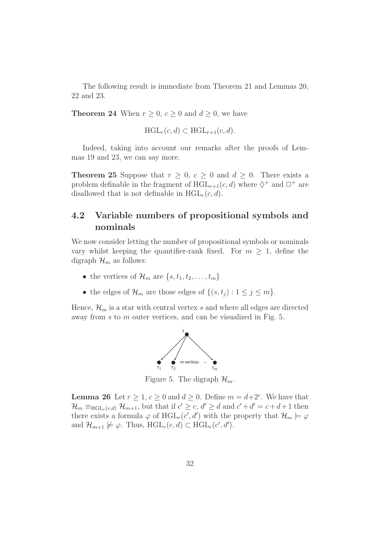The following result is immediate from Theorem 21 and Lemmas 20, 22 and 23.

**Theorem 24** When  $r \geq 0$ ,  $c \geq 0$  and  $d \geq 0$ , we have

$$
\text{HGL}_r(c,d) \subset \text{HGL}_{r+1}(c,d).
$$

Indeed, taking into account our remarks after the proofs of Lemmas 19 and 23, we can say more.

**Theorem 25** Suppose that  $r \geq 0$ ,  $c \geq 0$  and  $d \geq 0$ . There exists a problem definable in the fragment of  $\text{HGL}_{r+1}(c, d)$  where  $\Diamond^+$  and  $\Box^+$  are disallowed that is not definable in  $HGL<sub>r</sub>(c, d)$ .

### 4.2 Variable numbers of propositional symbols and nominals

We now consider letting the number of propositional symbols or nominals vary whilst keeping the quantifier-rank fixed. For  $m \geq 1$ , define the digraph  $\mathcal{H}_m$  as follows:

- the vertices of  $\mathcal{H}_m$  are  $\{s, t_1, t_2, \ldots, t_m\}$
- the edges of  $\mathcal{H}_m$  are those edges of  $\{(s, t_j) : 1 \le j \le m\}$ .

Hence,  $\mathcal{H}_m$  is a star with central vertex s and where all edges are directed away from s to m outer vertices, and can be visualized in Fig. 5.



Figure 5. The digraph  $\mathcal{H}_m$ .

**Lemma 26** Let  $r \geq 1, c \geq 0$  and  $d \geq 0$ . Define  $m = d+2^c$ . We have that  $\mathcal{H}_m \equiv_{\text{HGL}_r(c,d)} \mathcal{H}_{m+1}$ , but that if  $c' \geq c, d' \geq d$  and  $c' + d' = c + d + 1$  then there exists a formula  $\varphi$  of  $\text{HGL}_r(c', d')$  with the property that  $\mathcal{H}_m \models \varphi$ and  $\mathcal{H}_{m+1} \not\models \varphi$ . Thus,  $HGL_r(c,d) \subset HGL_r(c',d').$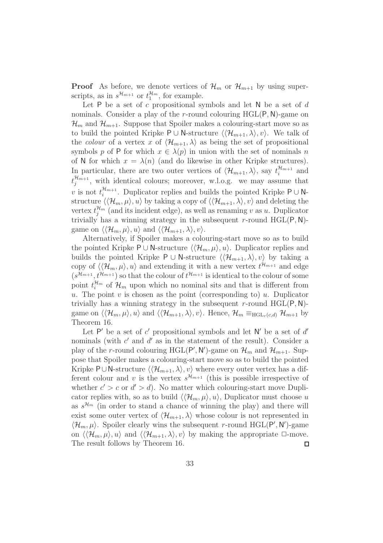**Proof** As before, we denote vertices of  $\mathcal{H}_m$  or  $\mathcal{H}_{m+1}$  by using superscripts, as in  $s^{\mathcal{H}_{m+1}}$  or  $t_1^{\mathcal{H}_m}$  $\frac{\mathcal{H}_m}{1}$ , for example.

Let  $P$  be a set of c propositional symbols and let  $N$  be a set of d nominals. Consider a play of the r-round colouring  $HGL(P, N)$ -game on  $\mathcal{H}_m$  and  $\mathcal{H}_{m+1}$ . Suppose that Spoiler makes a colouring-start move so as to build the pointed Kripke P ∪ N-structure  $\langle\langle \mathcal{H}_{m+1}, \lambda \rangle, v \rangle$ . We talk of the colour of a vertex x of  $\langle \mathcal{H}_{m+1}, \lambda \rangle$  as being the set of propositional symbols p of P for which  $x \in \lambda(p)$  in union with the set of nominals n of N for which  $x = \lambda(n)$  (and do likewise in other Kripke structures). In particular, there are two outer vertices of  $\langle \mathcal{H}_{m+1}, \lambda \rangle$ , say  $t_i^{\mathcal{H}_{m+1}}$  $\prod_{i=1}^{n}$  and  $t_i^{\mathcal{H}_{m+1}}$  $\int_{j}^{\pi_{m+1}}$ , with identical colours; moreover, w.l.o.g. we may assume that v is not  $t_i^{\mathcal{H}_{m+1}}$  $\mathcal{H}_{m+1}$ . Duplicator replies and builds the pointed Kripke P ∪ Nstructure  $\langle \langle \mathcal{H}_m, \mu \rangle, u \rangle$  by taking a copy of  $\langle \langle \mathcal{H}_{m+1}, \lambda \rangle, v \rangle$  and deleting the vertex  $t_i^{\mathcal{H}_m}$  $''_{j}$ <sup> $\mu_{m}$ </sup> (and its incident edge), as well as renaming v as u. Duplicator trivially has a winning strategy in the subsequent r-round  $HGL(P, N)$ game on  $\langle \langle \mathcal{H}_m, \mu \rangle, u \rangle$  and  $\langle \langle \mathcal{H}_{m+1}, \lambda \rangle, v \rangle$ .

Alternatively, if Spoiler makes a colouring-start move so as to build the pointed Kripke P ∪ N-structure  $\langle\langle \mathcal{H}_m, \mu \rangle, u \rangle$ . Duplicator replies and builds the pointed Kripke P ∪ N-structure  $\langle \langle \mathcal{H}_{m+1}, \lambda \rangle, v \rangle$  by taking a copy of  $\langle \langle \mathcal{H}_m, \mu \rangle, u \rangle$  and extending it with a new vertex  $t^{\mathcal{H}_{m+1}}$  and edge  $(s^{\mathcal{H}_{m+1}}, t^{\mathcal{H}_{m+1}})$  so that the colour of  $t^{\mathcal{H}_{m+1}}$  is identical to the colour of some point  $t_i^{\mathcal{H}_m}$  $\mathcal{H}_m$  of  $\mathcal{H}_m$  upon which no nominal sits and that is different from u. The point v is chosen as the point (corresponding to) u. Duplicator trivially has a winning strategy in the subsequent r-round  $HGL(P, N)$ game on  $\langle \langle \mathcal{H}_m, \mu \rangle, u \rangle$  and  $\langle \langle \mathcal{H}_{m+1}, \lambda \rangle, v \rangle$ . Hence,  $\mathcal{H}_m \equiv_{\text{HGL}_r(c,d)} \mathcal{H}_{m+1}$  by Theorem 16.

Let P' be a set of  $c'$  propositional symbols and let N' be a set of  $d'$ nominals (with  $c'$  and  $d'$  as in the statement of the result). Consider a play of the *r*-round colouring HGL(P', N')-game on  $\mathcal{H}_m$  and  $\mathcal{H}_{m+1}$ . Suppose that Spoiler makes a colouring-start move so as to build the pointed Kripke P∪N-structure  $\langle \langle \mathcal{H}_{m+1}, \lambda \rangle, v \rangle$  where every outer vertex has a different colour and v is the vertex  $s^{\mathcal{H}_{m+1}}$  (this is possible irrespective of whether  $c' > c$  or  $d' > d$ ). No matter which colouring-start move Duplicator replies with, so as to build  $\langle\langle \mathcal{H}_m, \mu \rangle, u \rangle$ , Duplicator must choose u as  $s^{\mathcal{H}_m}$  (in order to stand a chance of winning the play) and there will exist some outer vertex of  $\langle \mathcal{H}_{m+1}, \lambda \rangle$  whose colour is not represented in  $\langle \mathcal{H}_m, \mu \rangle$ . Spoiler clearly wins the subsequent r-round HGL(P', N')-game on  $\langle \langle \mathcal{H}_m, \mu \rangle, u \rangle$  and  $\langle \langle \mathcal{H}_{m+1}, \lambda \rangle, v \rangle$  by making the appropriate  $\Box$ -move. The result follows by Theorem 16.  $\Box$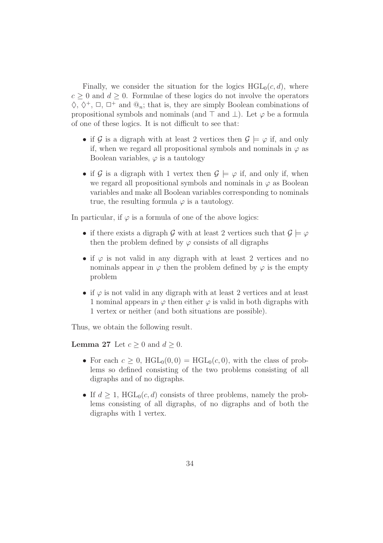Finally, we consider the situation for the logics  $HGL_0(c, d)$ , where  $c > 0$  and  $d > 0$ . Formulae of these logics do not involve the operators  $\Diamond, \Diamond^+, \Box, \Box^+$  and  $\mathcal{Q}_n$ ; that is, they are simply Boolean combinations of propositional symbols and nominals (and  $\top$  and  $\bot$ ). Let  $\varphi$  be a formula of one of these logics. It is not difficult to see that:

- if G is a digraph with at least 2 vertices then  $\mathcal{G} \models \varphi$  if, and only if, when we regard all propositional symbols and nominals in  $\varphi$  as Boolean variables,  $\varphi$  is a tautology
- if G is a digraph with 1 vertex then  $\mathcal{G} \models \varphi$  if, and only if, when we regard all propositional symbols and nominals in  $\varphi$  as Boolean variables and make all Boolean variables corresponding to nominals true, the resulting formula  $\varphi$  is a tautology.

In particular, if  $\varphi$  is a formula of one of the above logics:

- if there exists a digraph G with at least 2 vertices such that  $\mathcal{G} \models \varphi$ then the problem defined by  $\varphi$  consists of all digraphs
- if  $\varphi$  is not valid in any digraph with at least 2 vertices and no nominals appear in  $\varphi$  then the problem defined by  $\varphi$  is the empty problem
- if  $\varphi$  is not valid in any digraph with at least 2 vertices and at least 1 nominal appears in  $\varphi$  then either  $\varphi$  is valid in both digraphs with 1 vertex or neither (and both situations are possible).

Thus, we obtain the following result.

**Lemma 27** Let  $c \geq 0$  and  $d \geq 0$ .

- For each  $c \geq 0$ ,  $HGL_0(0,0) = HGL_0(c,0)$ , with the class of problems so defined consisting of the two problems consisting of all digraphs and of no digraphs.
- If  $d \geq 1$ , HGL<sub>0</sub>(c, d) consists of three problems, namely the problems consisting of all digraphs, of no digraphs and of both the digraphs with 1 vertex.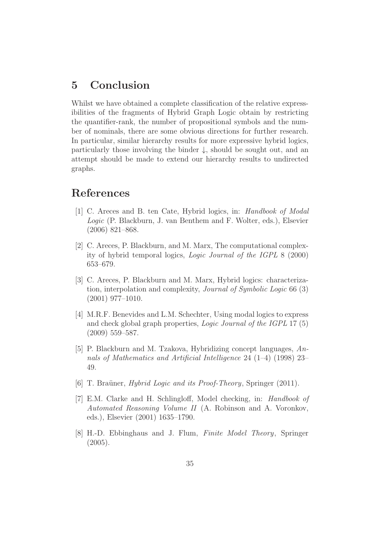## 5 Conclusion

Whilst we have obtained a complete classification of the relative expressibilities of the fragments of Hybrid Graph Logic obtain by restricting the quantifier-rank, the number of propositional symbols and the number of nominals, there are some obvious directions for further research. In particular, similar hierarchy results for more expressive hybrid logics, particularly those involving the binder  $\downarrow$ , should be sought out, and an attempt should be made to extend our hierarchy results to undirected graphs.

### References

- [1] C. Areces and B. ten Cate, Hybrid logics, in: Handbook of Modal Logic (P. Blackburn, J. van Benthem and F. Wolter, eds.), Elsevier (2006) 821–868.
- [2] C. Areces, P. Blackburn, and M. Marx, The computational complexity of hybrid temporal logics, Logic Journal of the IGPL 8 (2000) 653–679.
- [3] C. Areces, P. Blackburn and M. Marx, Hybrid logics: characterization, interpolation and complexity, Journal of Symbolic Logic 66 (3) (2001) 977–1010.
- [4] M.R.F. Benevides and L.M. Schechter, Using modal logics to express and check global graph properties, Logic Journal of the IGPL 17 (5) (2009) 559–587.
- [5] P. Blackburn and M. Tzakova, Hybridizing concept languages, Annals of Mathematics and Artificial Intelligence 24 (1–4) (1998) 23– 49.
- [6] T. Braüner, *Hybrid Logic and its Proof-Theory*, Springer (2011).
- [7] E.M. Clarke and H. Schlingloff, Model checking, in: Handbook of Automated Reasoning Volume II (A. Robinson and A. Voronkov, eds.), Elsevier (2001) 1635–1790.
- [8] H.-D. Ebbinghaus and J. Flum, Finite Model Theory, Springer (2005).